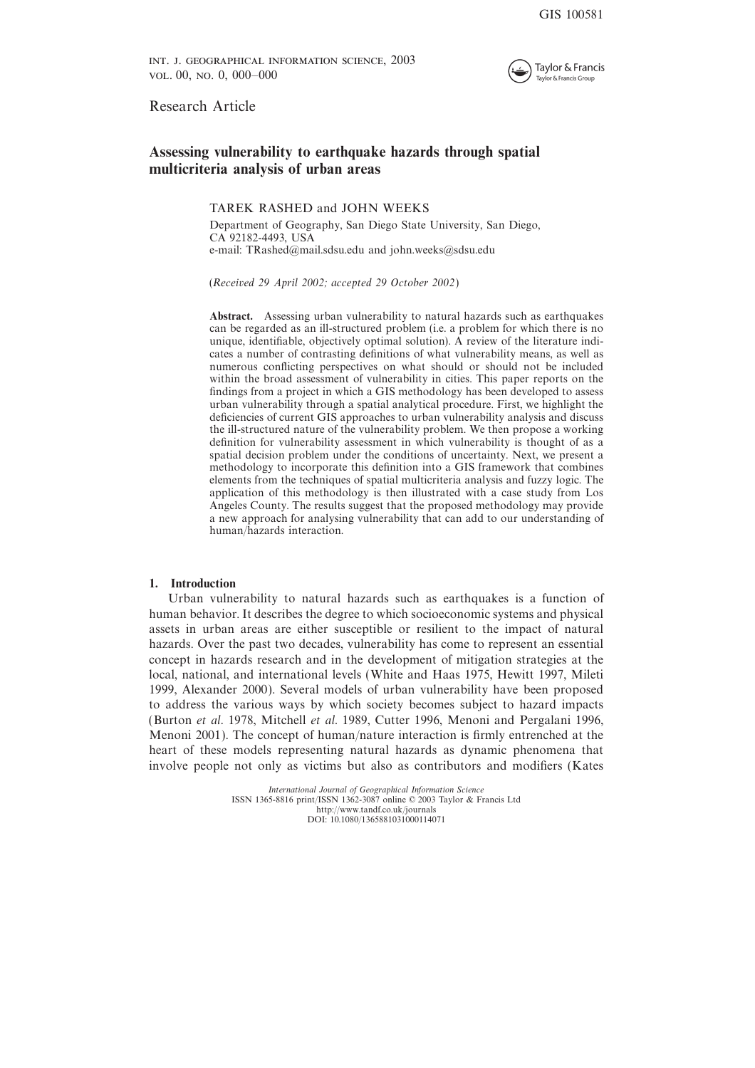INT. J. GEOGRAPHICAL INFORMATION SCIENCE, 2003 VOL. 00, NO. 0, 000-000



Research Article

# Assessing vulnerability to earthquake hazards through spatial multicriteria analysis of urban areas

TAREK RASHED and JOHN WEEKS

Department of Geography, San Diego State University, San Diego, CA 92182-4493, USA e-mail: TRashed@mail.sdsu.edu and john.weeks@sdsu.edu

(Received 29 April 2002; accepted 29 October 2002)

Abstract. Assessing urban vulnerability to natural hazards such as earthquakes can be regarded as an ill-structured problem (i.e. a problem for which there is no unique, identifiable, objectively optimal solution). A review of the literature indicates a number of contrasting definitions of what vulnerability means, as well as numerous conflicting perspectives on what should or should not be included within the broad assessment of vulnerability in cities. This paper reports on the findings from a project in which a GIS methodology has been developed to assess urban vulnerability through a spatial analytical procedure. First, we highlight the deficiencies of current GIS approaches to urban vulnerability analysis and discuss the ill-structured nature of the vulnerability problem. We then propose a working definition for vulnerability assessment in which vulnerability is thought of as a spatial decision problem under the conditions of uncertainty. Next, we present a methodology to incorporate this definition into a GIS framework that combines elements from the techniques of spatial multicriteria analysis and fuzzy logic. The application of this methodology is then illustrated with a case study from Los Angeles County. The results suggest that the proposed methodology may provide a new approach for analysing vulnerability that can add to our understanding of human/hazards interaction.

# 1. Introduction

Urban vulnerability to natural hazards such as earthquakes is a function of human behavior. It describes the degree to which socioeconomic systems and physical assets in urban areas are either susceptible or resilient to the impact of natural hazards. Over the past two decades, vulnerability has come to represent an essential concept in hazards research and in the development of mitigation strategies at the local, national, and international levels (White and Haas 1975, Hewitt 1997, Mileti 1999, Alexander 2000). Several models of urban vulnerability have been proposed to address the various ways by which society becomes subject to hazard impacts (Burton et al. 1978, Mitchell et al. 1989, Cutter 1996, Menoni and Pergalani 1996, Menoni 2001). The concept of human/nature interaction is firmly entrenched at the heart of these models representing natural hazards as dynamic phenomena that involve people not only as victims but also as contributors and modifiers (Kates

> International Journal of Geographical Information Science ISSN 1365-8816 print/ISSN 1362-3087 online © 2003 Taylor & Francis Ltd http://www.tandf.co.uk/journals http://www.tandf.co.uk/journals<br>DOI: 10.1080/1365881031000114071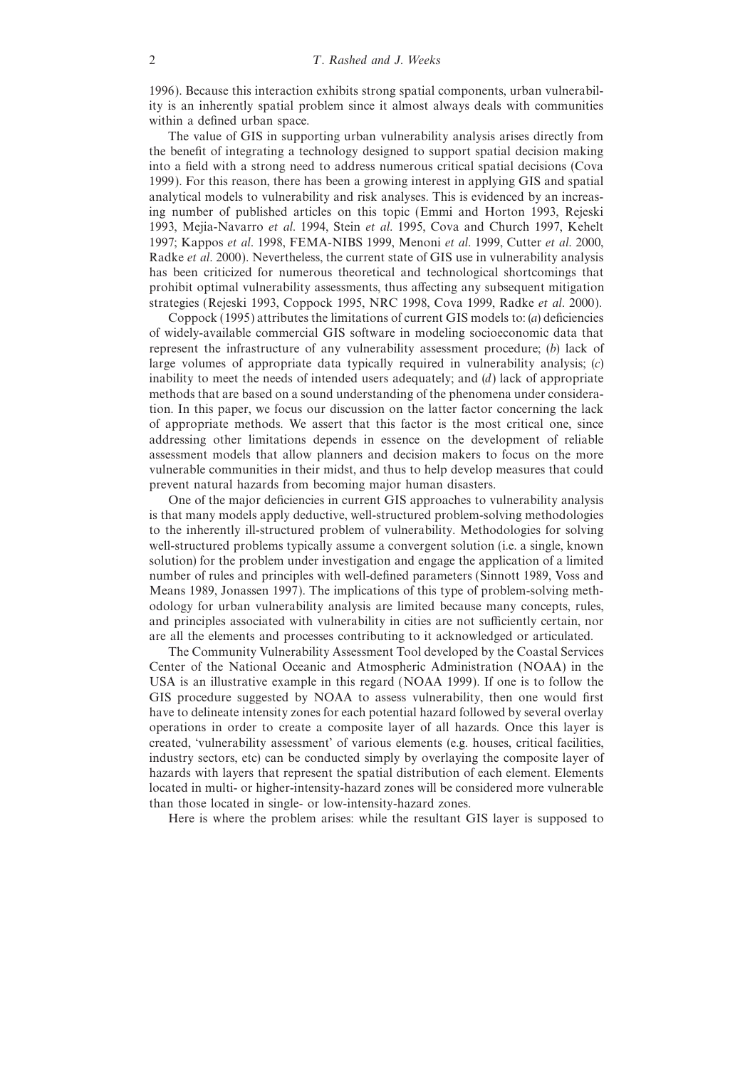1996). Because this interaction exhibits strong spatial components, urban vulnerability is an inherently spatial problem since it almost always deals with communities within a defined urban space.

The value of GIS in supporting urban vulnerability analysis arises directly from the benefit of integrating a technology designed to support spatial decision making into a field with a strong need to address numerous critical spatial decisions (Cova 1999). For this reason, there has been a growing interest in applying GIS and spatial analytical models to vulnerability and risk analyses. This is evidenced by an increasing number of published articles on this topic (Emmi and Horton 1993, Rejeski 1993, Mejia-Navarro et al. 1994, Stein et al. 1995, Cova and Church 1997, Kehelt 1997; Kappos et al. 1998, FEMA-NIBS 1999, Menoni et al. 1999, Cutter et al. 2000, Radke et al. 2000). Nevertheless, the current state of GIS use in vulnerability analysis has been criticized for numerous theoretical and technological shortcomings that prohibit optimal vulnerability assessments, thus affecting any subsequent mitigation strategies (Rejeski 1993, Coppock 1995, NRC 1998, Cova 1999, Radke et al. 2000).

Coppock (1995) attributes the limitations of current GIS models to: (a) deficiencies of widely-available commercial GIS software in modeling socioeconomic data that represent the infrastructure of any vulnerability assessment procedure; (b) lack of large volumes of appropriate data typically required in vulnerability analysis; (c) inability to meet the needs of intended users adequately; and  $(d)$  lack of appropriate methods that are based on a sound understanding of the phenomena under consideration. In this paper, we focus our discussion on the latter factor concerning the lack of appropriate methods. We assert that this factor is the most critical one, since addressing other limitations depends in essence on the development of reliable assessment models that allow planners and decision makers to focus on the more vulnerable communities in their midst, and thus to help develop measures that could prevent natural hazards from becoming major human disasters.

One of the major deficiencies in current GIS approaches to vulnerability analysis is that many models apply deductive, well-structured problem-solving methodologies to the inherently ill-structured problem of vulnerability. Methodologies for solving well-structured problems typically assume a convergent solution (i.e. a single, known solution) for the problem under investigation and engage the application of a limited number of rules and principles with well-defined parameters (Sinnott 1989, Voss and Means 1989, Jonassen 1997). The implications of this type of problem-solving methodology for urban vulnerability analysis are limited because many concepts, rules, and principles associated with vulnerability in cities are not sufficiently certain, nor are all the elements and processes contributing to it acknowledged or articulated.

The Community Vulnerability Assessment Tool developed by the Coastal Services Center of the National Oceanic and Atmospheric Administration (NOAA) in the USA is an illustrative example in this regard (NOAA 1999). If one is to follow the GIS procedure suggested by NOAA to assess vulnerability, then one would first have to delineate intensity zones for each potential hazard followed by several overlay operations in order to create a composite layer of all hazards. Once this layer is created, 'vulnerability assessment' of various elements (e.g. houses, critical facilities, industry sectors, etc) can be conducted simply by overlaying the composite layer of hazards with layers that represent the spatial distribution of each element. Elements located in multi- or higher-intensity-hazard zones will be considered more vulnerable than those located in single- or low-intensity-hazard zones.

Here is where the problem arises: while the resultant GIS layer is supposed to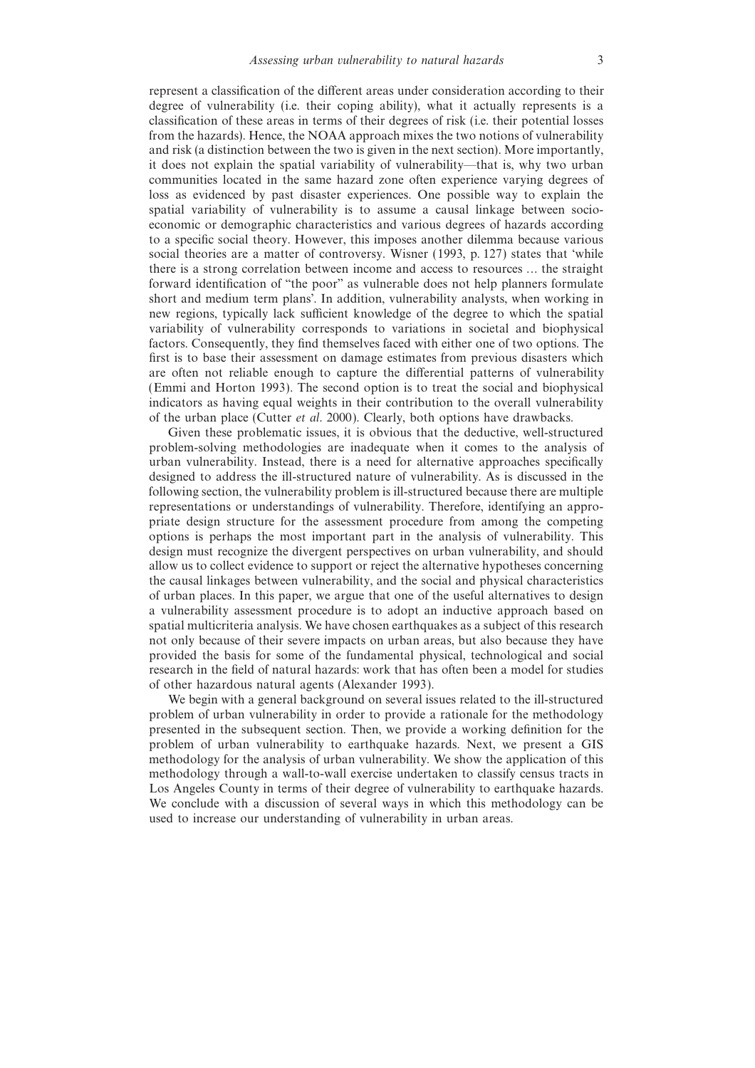represent a classification of the different areas under consideration according to their degree of vulnerability (i.e. their coping ability), what it actually represents is a classification of these areas in terms of their degrees of risk (i.e. their potential losses from the hazards). Hence, the NOAA approach mixes the two notions of vulnerability and risk (a distinction between the two is given in the next section). More importantly, it does not explain the spatial variability of vulnerability—that is, why two urban communities located in the same hazard zone often experience varying degrees of loss as evidenced by past disaster experiences. One possible way to explain the spatial variability of vulnerability is to assume a causal linkage between socioeconomic or demographic characteristics and various degrees of hazards according to a specific social theory. However, this imposes another dilemma because various social theories are a matter of controversy. Wisner (1993, p. 127) states that 'while there is a strong correlation between income and access to resources ... the straight forward identification of ''the poor'' as vulnerable does not help planners formulate short and medium term plans'. In addition, vulnerability analysts, when working in new regions, typically lack sufficient knowledge of the degree to which the spatial variability of vulnerability corresponds to variations in societal and biophysical factors. Consequently, they find themselves faced with either one of two options. The first is to base their assessment on damage estimates from previous disasters which are often not reliable enough to capture the differential patterns of vulnerability (Emmi and Horton 1993). The second option is to treat the social and biophysical indicators as having equal weights in their contribution to the overall vulnerability of the urban place (Cutter et al. 2000). Clearly, both options have drawbacks.

Given these problematic issues, it is obvious that the deductive, well-structured problem-solving methodologies are inadequate when it comes to the analysis of urban vulnerability. Instead, there is a need for alternative approaches specifically designed to address the ill-structured nature of vulnerability. As is discussed in the following section, the vulnerability problem is ill-structured because there are multiple representations or understandings of vulnerability. Therefore, identifying an appropriate design structure for the assessment procedure from among the competing options is perhaps the most important part in the analysis of vulnerability. This design must recognize the divergent perspectives on urban vulnerability, and should allow us to collect evidence to support or reject the alternative hypotheses concerning the causal linkages between vulnerability, and the social and physical characteristics of urban places. In this paper, we argue that one of the useful alternatives to design a vulnerability assessment procedure is to adopt an inductive approach based on spatial multicriteria analysis. We have chosen earthquakes as a subject of this research not only because of their severe impacts on urban areas, but also because they have provided the basis for some of the fundamental physical, technological and social research in the field of natural hazards: work that has often been a model for studies of other hazardous natural agents (Alexander 1993).

We begin with a general background on several issues related to the ill-structured problem of urban vulnerability in order to provide a rationale for the methodology presented in the subsequent section. Then, we provide a working definition for the problem of urban vulnerability to earthquake hazards. Next, we present a GIS methodology for the analysis of urban vulnerability. We show the application of this methodology through a wall-to-wall exercise undertaken to classify census tracts in Los Angeles County in terms of their degree of vulnerability to earthquake hazards. We conclude with a discussion of several ways in which this methodology can be used to increase our understanding of vulnerability in urban areas.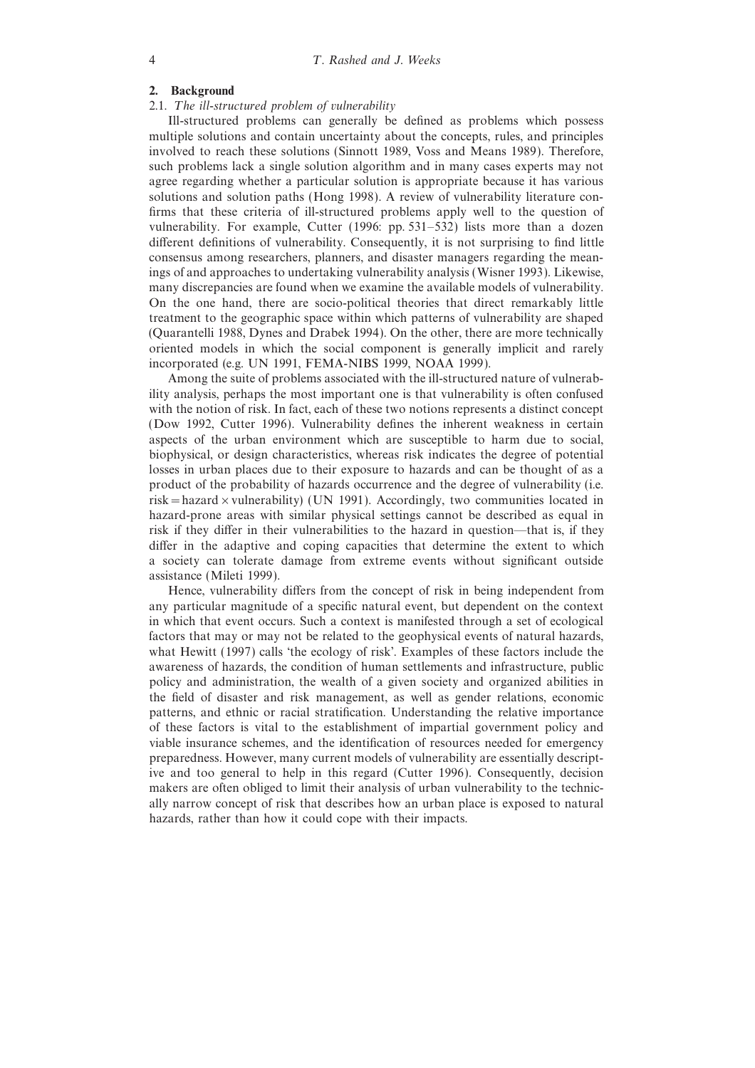#### 2. Background

# 2.1. The ill-structured problem of vulnerability

Ill-structured problems can generally be defined as problems which possess multiple solutions and contain uncertainty about the concepts, rules, and principles involved to reach these solutions (Sinnott 1989, Voss and Means 1989). Therefore, such problems lack a single solution algorithm and in many cases experts may not agree regarding whether a particular solution is appropriate because it has various solutions and solution paths (Hong 1998). A review of vulnerability literature confirms that these criteria of ill-structured problems apply well to the question of vulnerability. For example, Cutter (1996: pp. 531–532) lists more than a dozen different definitions of vulnerability. Consequently, it is not surprising to find little consensus among researchers, planners, and disaster managers regarding the meanings of and approaches to undertaking vulnerability analysis (Wisner 1993). Likewise, many discrepancies are found when we examine the available models of vulnerability. On the one hand, there are socio-political theories that direct remarkably little treatment to the geographic space within which patterns of vulnerability are shaped (Quarantelli 1988, Dynes and Drabek 1994). On the other, there are more technically oriented models in which the social component is generally implicit and rarely incorporated (e.g. UN 1991, FEMA-NIBS 1999, NOAA 1999).

Among the suite of problems associated with the ill-structured nature of vulnerability analysis, perhaps the most important one is that vulnerability is often confused with the notion of risk. In fact, each of these two notions represents a distinct concept (Dow 1992, Cutter 1996). Vulnerability defines the inherent weakness in certain aspects of the urban environment which are susceptible to harm due to social, biophysical, or design characteristics, whereas risk indicates the degree of potential losses in urban places due to their exposure to hazards and can be thought of as a product of the probability of hazards occurrence and the degree of vulnerability (i.e.  $risk =$  hazard  $\times$  vulnerability) (UN 1991). Accordingly, two communities located in hazard-prone areas with similar physical settings cannot be described as equal in risk if they differ in their vulnerabilities to the hazard in question—that is, if they differ in the adaptive and coping capacities that determine the extent to which a society can tolerate damage from extreme events without significant outside assistance (Mileti 1999).

Hence, vulnerability differs from the concept of risk in being independent from any particular magnitude of a specific natural event, but dependent on the context in which that event occurs. Such a context is manifested through a set of ecological factors that may or may not be related to the geophysical events of natural hazards, what Hewitt (1997) calls 'the ecology of risk'. Examples of these factors include the awareness of hazards, the condition of human settlements and infrastructure, public policy and administration, the wealth of a given society and organized abilities in the field of disaster and risk management, as well as gender relations, economic patterns, and ethnic or racial stratification. Understanding the relative importance of these factors is vital to the establishment of impartial government policy and viable insurance schemes, and the identification of resources needed for emergency preparedness. However, many current models of vulnerability are essentially descriptive and too general to help in this regard (Cutter 1996). Consequently, decision makers are often obliged to limit their analysis of urban vulnerability to the technically narrow concept of risk that describes how an urban place is exposed to natural hazards, rather than how it could cope with their impacts.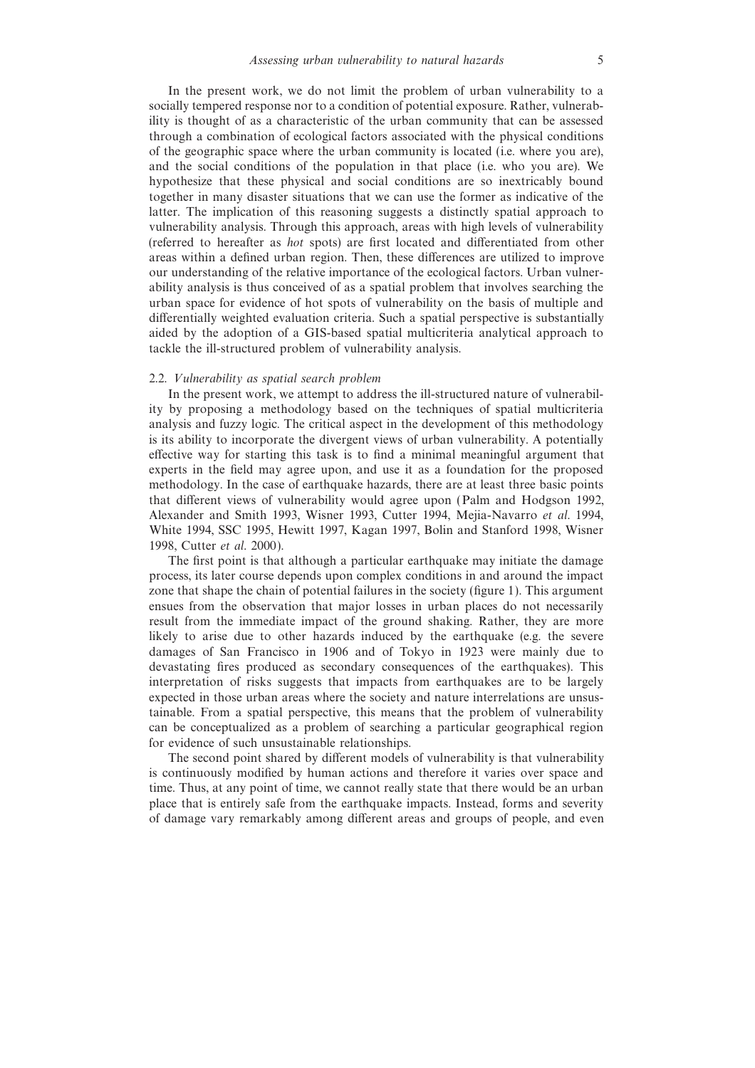In the present work, we do not limit the problem of urban vulnerability to a socially tempered response nor to a condition of potential exposure. Rather, vulnerability is thought of as a characteristic of the urban community that can be assessed through a combination of ecological factors associated with the physical conditions of the geographic space where the urban community is located (i.e. where you are), and the social conditions of the population in that place (i.e. who you are). We hypothesize that these physical and social conditions are so inextricably bound together in many disaster situations that we can use the former as indicative of the latter. The implication of this reasoning suggests a distinctly spatial approach to vulnerability analysis. Through this approach, areas with high levels of vulnerability (referred to hereafter as hot spots) are first located and differentiated from other areas within a defined urban region. Then, these differences are utilized to improve our understanding of the relative importance of the ecological factors. Urban vulnerability analysis is thus conceived of as a spatial problem that involves searching the urban space for evidence of hot spots of vulnerability on the basis of multiple and differentially weighted evaluation criteria. Such a spatial perspective is substantially aided by the adoption of a GIS-based spatial multicriteria analytical approach to tackle the ill-structured problem of vulnerability analysis.

# 2.2. V ulnerability as spatial search problem

In the present work, we attempt to address the ill-structured nature of vulnerability by proposing a methodology based on the techniques of spatial multicriteria analysis and fuzzy logic. The critical aspect in the development of this methodology is its ability to incorporate the divergent views of urban vulnerability. A potentially effective way for starting this task is to find a minimal meaningful argument that experts in the field may agree upon, and use it as a foundation for the proposed methodology. In the case of earthquake hazards, there are at least three basic points that different views of vulnerability would agree upon (Palm and Hodgson 1992, Alexander and Smith 1993, Wisner 1993, Cutter 1994, Mejia-Navarro et al. 1994, White 1994, SSC 1995, Hewitt 1997, Kagan 1997, Bolin and Stanford 1998, Wisner 1998, Cutter et al. 2000).

The first point is that although a particular earthquake may initiate the damage process, its later course depends upon complex conditions in and around the impact zone that shape the chain of potential failures in the society (figure 1). This argument ensues from the observation that major losses in urban places do not necessarily result from the immediate impact of the ground shaking. Rather, they are more likely to arise due to other hazards induced by the earthquake (e.g. the severe damages of San Francisco in 1906 and of Tokyo in 1923 were mainly due to devastating fires produced as secondary consequences of the earthquakes). This interpretation of risks suggests that impacts from earthquakes are to be largely expected in those urban areas where the society and nature interrelations are unsustainable. From a spatial perspective, this means that the problem of vulnerability can be conceptualized as a problem of searching a particular geographical region for evidence of such unsustainable relationships.

The second point shared by different models of vulnerability is that vulnerability is continuously modified by human actions and therefore it varies over space and time. Thus, at any point of time, we cannot really state that there would be an urban place that is entirely safe from the earthquake impacts. Instead, forms and severity of damage vary remarkably among different areas and groups of people, and even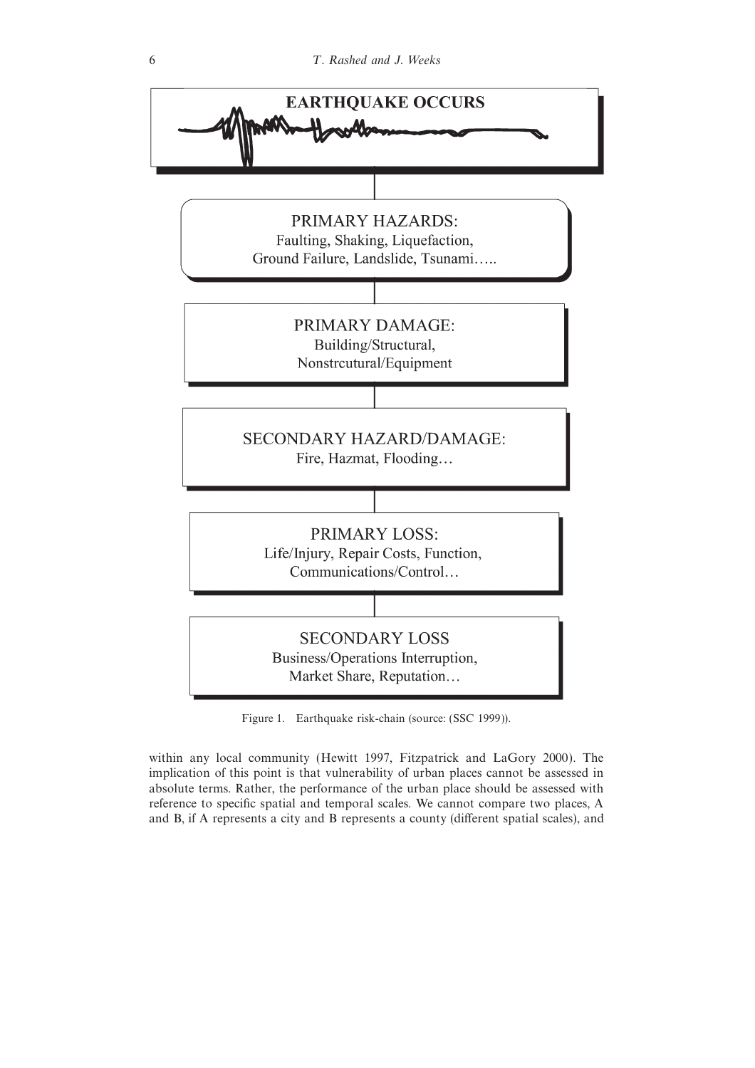

Figure 1. Earthquake risk-chain (source: (SSC 1999)).

within any local community (Hewitt 1997, Fitzpatrick and LaGory 2000). The implication of this point is that vulnerability of urban places cannot be assessed in absolute terms. Rather, the performance of the urban place should be assessed with reference to specific spatial and temporal scales. We cannot compare two places, A and B, if A represents a city and B represents a county (different spatial scales), and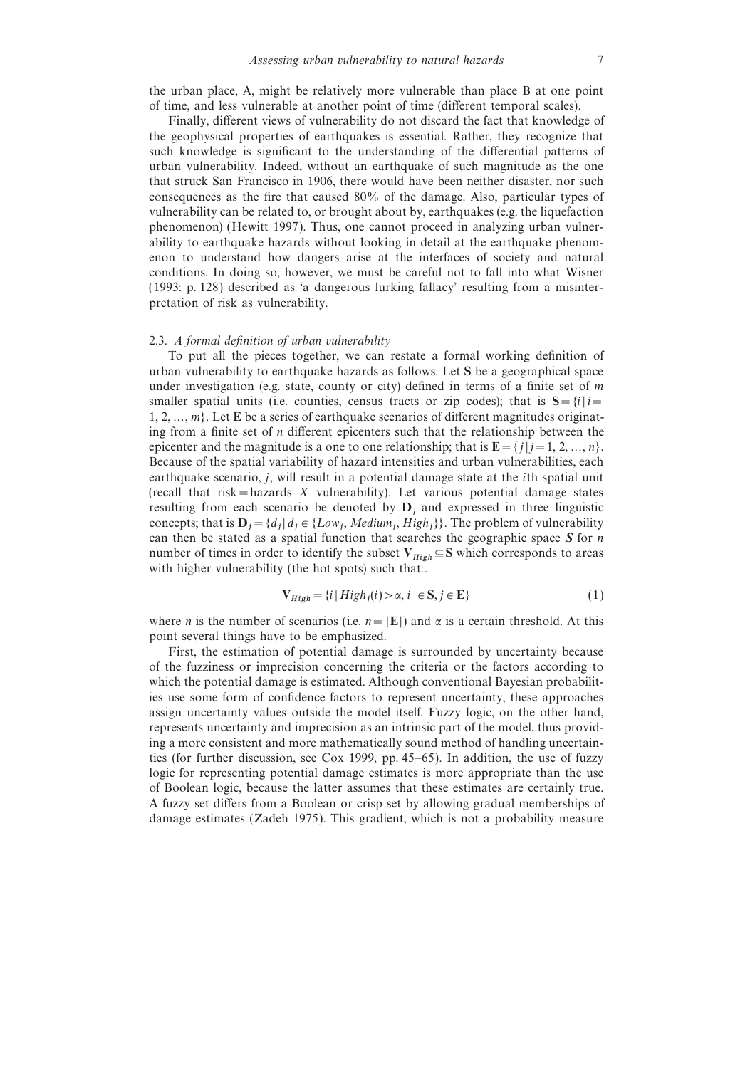the urban place, A, might be relatively more vulnerable than place B at one point of time, and less vulnerable at another point of time (different temporal scales).

Finally, different views of vulnerability do not discard the fact that knowledge of the geophysical properties of earthquakes is essential. Rather, they recognize that such knowledge is significant to the understanding of the differential patterns of urban vulnerability. Indeed, without an earthquake of such magnitude as the one that struck San Francisco in 1906, there would have been neither disaster, nor such consequences as the fire that caused 80% of the damage. Also, particular types of vulnerability can be related to, or brought about by, earthquakes (e.g. the liquefaction phenomenon) (Hewitt 1997). Thus, one cannot proceed in analyzing urban vulnerability to earthquake hazards without looking in detail at the earthquake phenomenon to understand how dangers arise at the interfaces of society and natural conditions. In doing so, however, we must be careful not to fall into what Wisner (1993: p. 128) described as 'a dangerous lurking fallacy' resulting from a misinterpretation of risk as vulnerability.

#### 2.3. A formal definition of urban vulnerability

To put all the pieces together, we can restate a formal working definition of urban vulnerability to earthquake hazards as follows. Let S be a geographical space under investigation (e.g. state, county or city) defined in terms of a finite set of  $m$ smaller spatial units (i.e. counties, census tracts or zip codes); that is  $S = \{i | i =$  $1, 2, \ldots, m$ . Let E be a series of earthquake scenarios of different magnitudes originating from a finite set of n different epicenters such that the relationship between the epicenter and the magnitude is a one to one relationship; that is  $\mathbf{E} = \{j | j = 1, 2, ..., n\}$ . Because of the spatial variability of hazard intensities and urban vulnerabilities, each earthquake scenario, j, will result in a potential damage state at the ith spatial unit (recall that risk=hazards  $X$  vulnerability). Let various potential damage states resulting from each scenario be denoted by  $D_i$  and expressed in three linguistic concepts; that is  $\mathbf{D}_j = \{d_j | d_j \in \{Low_j, Medium_j, High_j\}\}\.$  The problem of vulnerability can then be stated as a spatial function that searches the geographic space S for *n* number of times in order to identify the subset  $V_{High} \subseteq S$  which corresponds to areas with higher vulnerability (the hot spots) such that:.

$$
\mathbf{V}_{High} = \{i \mid High_j(i) > \alpha, \, i \in \mathbf{S}, \, j \in \mathbf{E}\} \tag{1}
$$

where *n* is the number of scenarios (i.e.  $n=|\mathbf{E}|$ ) and  $\alpha$  is a certain threshold. At this point several things have to be emphasized.

First, the estimation of potential damage is surrounded by uncertainty because of the fuzziness or imprecision concerning the criteria or the factors according to which the potential damage is estimated. Although conventional Bayesian probabilities use some form of confidence factors to represent uncertainty, these approaches assign uncertainty values outside the model itself. Fuzzy logic, on the other hand, represents uncertainty and imprecision as an intrinsic part of the model, thus providing a more consistent and more mathematically sound method of handling uncertainties (for further discussion, see Cox 1999, pp. 45–65). In addition, the use of fuzzy logic for representing potential damage estimates is more appropriate than the use of Boolean logic, because the latter assumes that these estimates are certainly true. A fuzzy set differs from a Boolean or crisp set by allowing gradual memberships of damage estimates (Zadeh 1975). This gradient, which is not a probability measure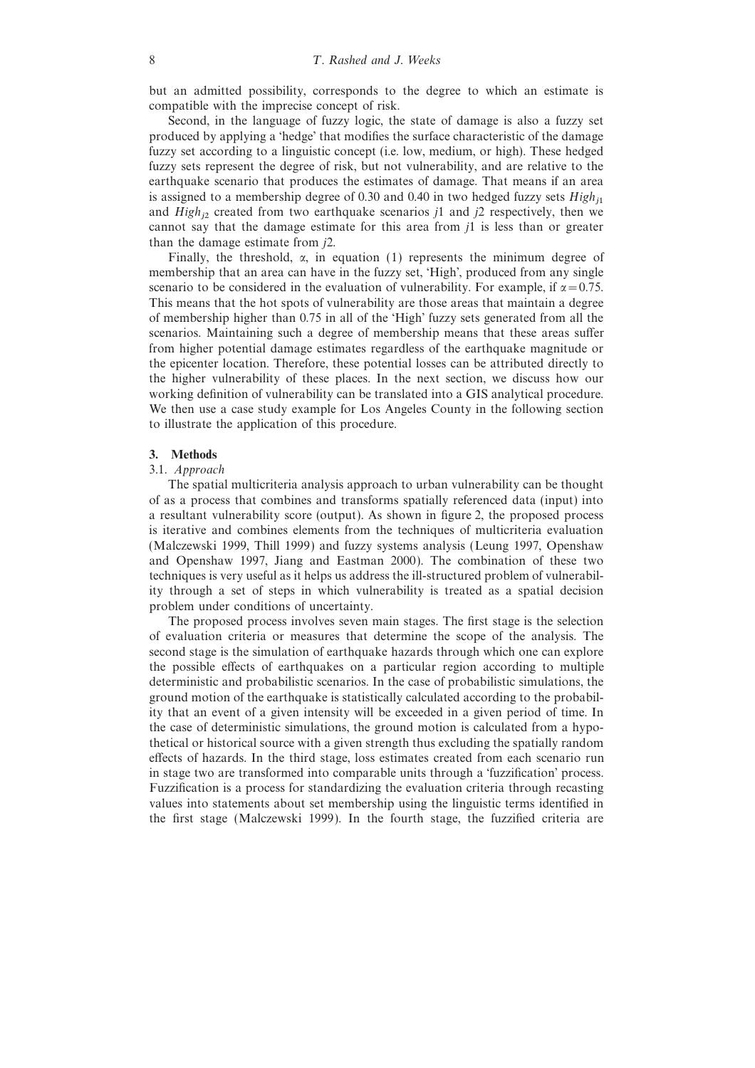but an admitted possibility, corresponds to the degree to which an estimate is compatible with the imprecise concept of risk.

Second, in the language of fuzzy logic, the state of damage is also a fuzzy set produced by applying a 'hedge' that modifies the surface characteristic of the damage fuzzy set according to a linguistic concept (i.e. low, medium, or high). These hedged fuzzy sets represent the degree of risk, but not vulnerability, and are relative to the earthquake scenario that produces the estimates of damage. That means if an area is assigned to a membership degree of 0.30 and 0.40 in two hedged fuzzy sets  $High_{i1}$ and  $High_{i2}$  created from two earthquake scenarios j1 and j2 respectively, then we cannot say that the damage estimate for this area from j1 is less than or greater than the damage estimate from j2.

Finally, the threshold,  $\alpha$ , in equation (1) represents the minimum degree of membership that an area can have in the fuzzy set, 'High', produced from any single scenario to be considered in the evaluation of vulnerability. For example, if  $\alpha = 0.75$ . This means that the hot spots of vulnerability are those areas that maintain a degree of membership higher than 0.75 in all of the 'High' fuzzy sets generated from all the scenarios. Maintaining such a degree of membership means that these areas suffer from higher potential damage estimates regardless of the earthquake magnitude or the epicenter location. Therefore, these potential losses can be attributed directly to the higher vulnerability of these places. In the next section, we discuss how our working definition of vulnerability can be translated into a GIS analytical procedure. We then use a case study example for Los Angeles County in the following section to illustrate the application of this procedure.

#### 3. Methods

#### 3.1. Approach

The spatial multicriteria analysis approach to urban vulnerability can be thought of as a process that combines and transforms spatially referenced data (input) into a resultant vulnerability score (output). As shown in figure 2, the proposed process is iterative and combines elements from the techniques of multicriteria evaluation (Malczewski 1999, Thill 1999) and fuzzy systems analysis (Leung 1997, Openshaw and Openshaw 1997, Jiang and Eastman 2000). The combination of these two techniques is very useful as it helps us address the ill-structured problem of vulnerability through a set of steps in which vulnerability is treated as a spatial decision problem under conditions of uncertainty.

The proposed process involves seven main stages. The first stage is the selection of evaluation criteria or measures that determine the scope of the analysis. The second stage is the simulation of earthquake hazards through which one can explore the possible effects of earthquakes on a particular region according to multiple deterministic and probabilistic scenarios. In the case of probabilistic simulations, the ground motion of the earthquake is statistically calculated according to the probability that an event of a given intensity will be exceeded in a given period of time. In the case of deterministic simulations, the ground motion is calculated from a hypothetical or historical source with a given strength thus excluding the spatially random effects of hazards. In the third stage, loss estimates created from each scenario run in stage two are transformed into comparable units through a 'fuzzification' process. Fuzzification is a process for standardizing the evaluation criteria through recasting values into statements about set membership using the linguistic terms identified in the first stage (Malczewski 1999). In the fourth stage, the fuzzified criteria are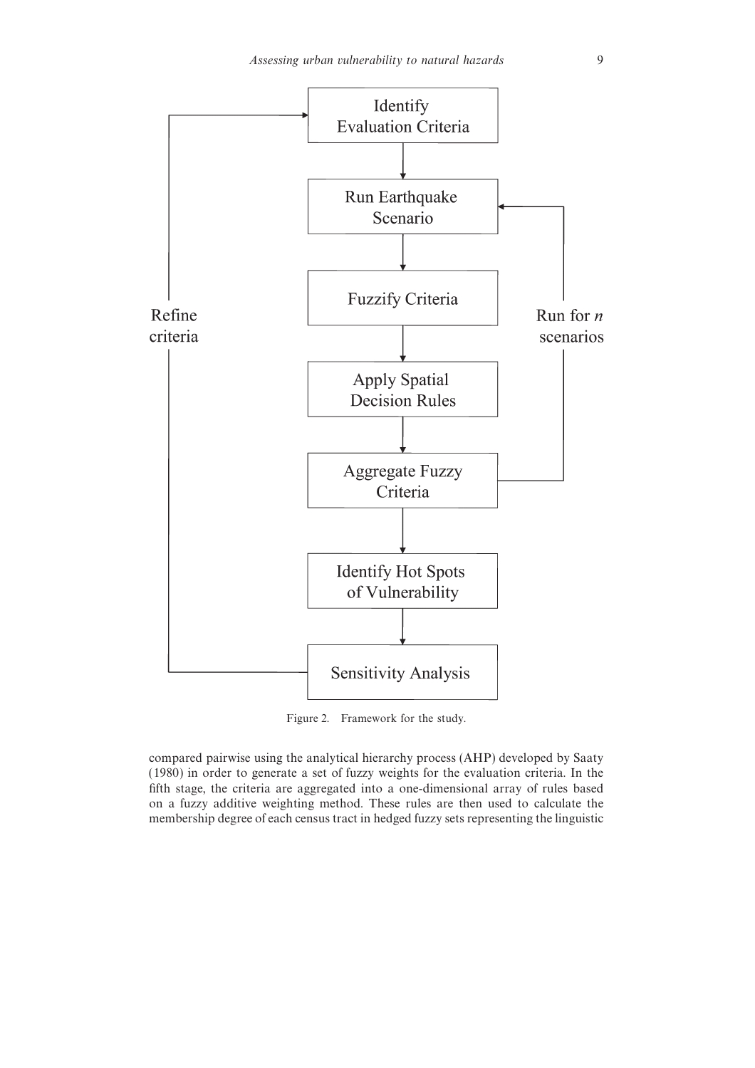

Figure 2. Framework for the study.

compared pairwise using the analytical hierarchy process (AHP) developed by Saaty (1980) in order to generate a set of fuzzy weights for the evaluation criteria. In the fifth stage, the criteria are aggregated into a one-dimensional array of rules based on a fuzzy additive weighting method. These rules are then used to calculate the membership degree of each census tract in hedged fuzzy sets representing the linguistic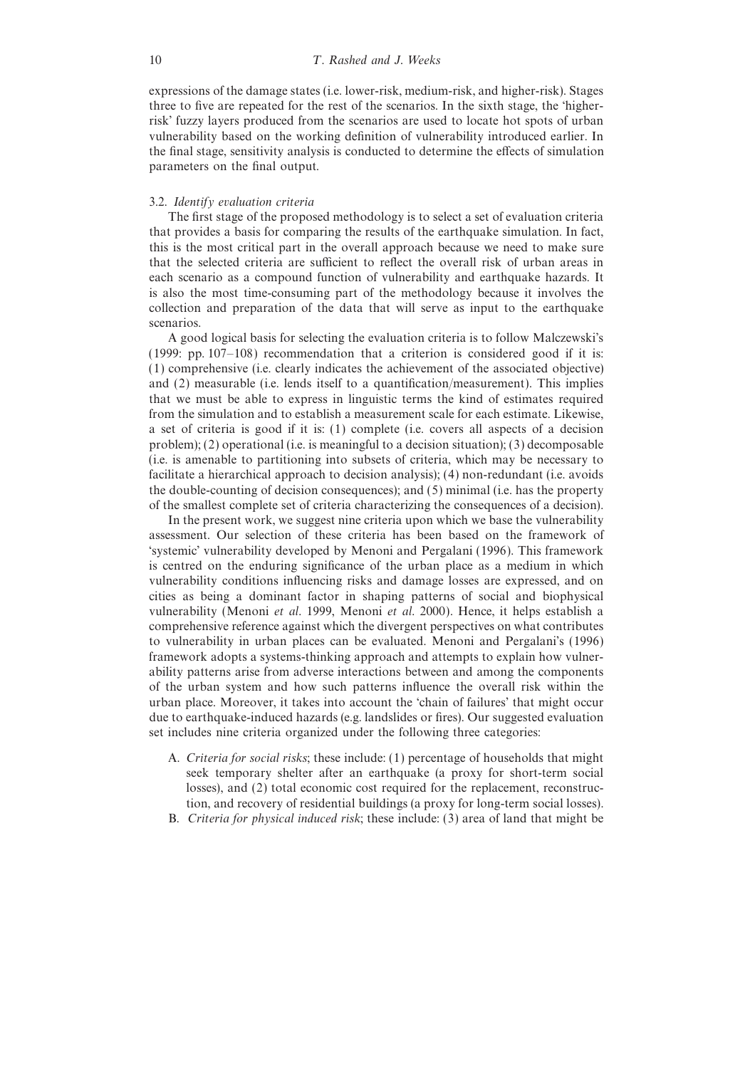expressions of the damage states (i.e. lower-risk, medium-risk, and higher-risk). Stages three to five are repeated for the rest of the scenarios. In the sixth stage, the 'higherrisk' fuzzy layers produced from the scenarios are used to locate hot spots of urban vulnerability based on the working definition of vulnerability introduced earlier. In the final stage, sensitivity analysis is conducted to determine the effects of simulation parameters on the final output.

#### 3.2. Identify evaluation criteria

The first stage of the proposed methodology is to select a set of evaluation criteria that provides a basis for comparing the results of the earthquake simulation. In fact, this is the most critical part in the overall approach because we need to make sure that the selected criteria are sufficient to reflect the overall risk of urban areas in each scenario as a compound function of vulnerability and earthquake hazards. It is also the most time-consuming part of the methodology because it involves the collection and preparation of the data that will serve as input to the earthquake scenarios.

A good logical basis for selecting the evaluation criteria is to follow Malczewski's (1999: pp. 107–108) recommendation that a criterion is considered good if it is: (1) comprehensive (i.e. clearly indicates the achievement of the associated objective) and (2) measurable (i.e. lends itself to a quantification/measurement). This implies that we must be able to express in linguistic terms the kind of estimates required from the simulation and to establish a measurement scale for each estimate. Likewise, a set of criteria is good if it is: (1) complete (i.e. covers all aspects of a decision problem); (2) operational (i.e. is meaningful to a decision situation); (3) decomposable (i.e. is amenable to partitioning into subsets of criteria, which may be necessary to facilitate a hierarchical approach to decision analysis); (4) non-redundant (i.e. avoids the double-counting of decision consequences); and (5) minimal (i.e. has the property of the smallest complete set of criteria characterizing the consequences of a decision).

In the present work, we suggest nine criteria upon which we base the vulnerability assessment. Our selection of these criteria has been based on the framework of 'systemic' vulnerability developed by Menoni and Pergalani (1996). This framework is centred on the enduring significance of the urban place as a medium in which vulnerability conditions influencing risks and damage losses are expressed, and on cities as being a dominant factor in shaping patterns of social and biophysical vulnerability (Menoni et al. 1999, Menoni et al. 2000). Hence, it helps establish a comprehensive reference against which the divergent perspectives on what contributes to vulnerability in urban places can be evaluated. Menoni and Pergalani's (1996) framework adopts a systems-thinking approach and attempts to explain how vulnerability patterns arise from adverse interactions between and among the components of the urban system and how such patterns influence the overall risk within the urban place. Moreover, it takes into account the 'chain of failures' that might occur due to earthquake-induced hazards (e.g. landslides or fires). Our suggested evaluation set includes nine criteria organized under the following three categories:

- A. Criteria for social risks; these include: (1) percentage of households that might seek temporary shelter after an earthquake (a proxy for short-term social losses), and (2) total economic cost required for the replacement, reconstruction, and recovery of residential buildings (a proxy for long-term social losses).
- B. Criteria for physical induced risk; these include: (3) area of land that might be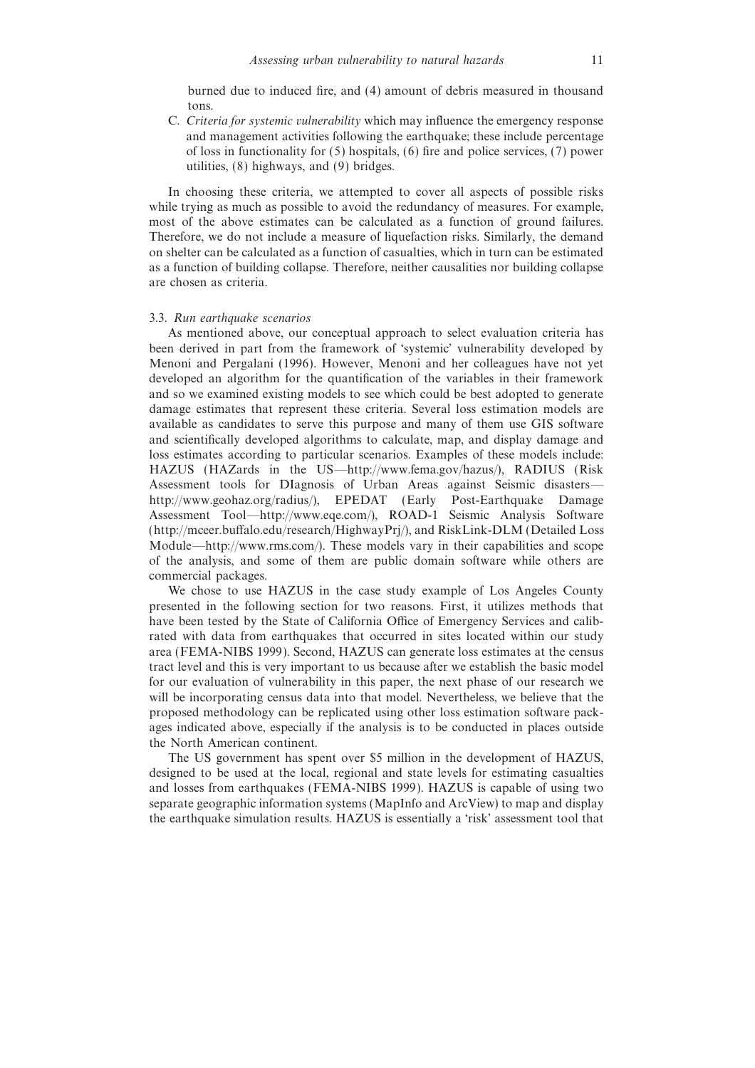burned due to induced fire, and (4) amount of debris measured in thousand tons.

C. Criteria for systemic vulnerability which may influence the emergency response and management activities following the earthquake; these include percentage of loss in functionality for (5) hospitals, (6) fire and police services, (7) power utilities, (8) highways, and (9) bridges.

In choosing these criteria, we attempted to cover all aspects of possible risks while trying as much as possible to avoid the redundancy of measures. For example, most of the above estimates can be calculated as a function of ground failures. Therefore, we do not include a measure of liquefaction risks. Similarly, the demand on shelter can be calculated as a function of casualties, which in turn can be estimated as a function of building collapse. Therefore, neither causalities nor building collapse are chosen as criteria.

# 3.3. Run earthquake scenarios

As mentioned above, our conceptual approach to select evaluation criteria has been derived in part from the framework of 'systemic' vulnerability developed by Menoni and Pergalani (1996). However, Menoni and her colleagues have not yet developed an algorithm for the quantification of the variables in their framework and so we examined existing models to see which could be best adopted to generate damage estimates that represent these criteria. Several loss estimation models are available as candidates to serve this purpose and many of them use GIS software and scientifically developed algorithms to calculate, map, and display damage and loss estimates according to particular scenarios. Examples of these models include: HAZUS (HAZards in the US—http://www.fema.gov/hazus/), RADIUS (Risk Assessment tools for DIagnosis of Urban Areas against Seismic disasters http://www.geohaz.org/radius/), EPEDAT (Early Post-Earthquake Damage Assessment Tool—http://www.eqe.com/), ROAD-1 Seismic Analysis Software (http://mceer.buffalo.edu/research/HighwayPrj/), and RiskLink-DLM (Detailed Loss Module—http://www.rms.com/). These models vary in their capabilities and scope of the analysis, and some of them are public domain software while others are commercial packages.

We chose to use HAZUS in the case study example of Los Angeles County presented in the following section for two reasons. First, it utilizes methods that have been tested by the State of California Office of Emergency Services and calibrated with data from earthquakes that occurred in sites located within our study area (FEMA-NIBS 1999). Second, HAZUS can generate loss estimates at the census tract level and this is very important to us because after we establish the basic model for our evaluation of vulnerability in this paper, the next phase of our research we will be incorporating census data into that model. Nevertheless, we believe that the proposed methodology can be replicated using other loss estimation software packages indicated above, especially if the analysis is to be conducted in places outside the North American continent.

The US government has spent over \$5 million in the development of HAZUS, designed to be used at the local, regional and state levels for estimating casualties and losses from earthquakes (FEMA-NIBS 1999). HAZUS is capable of using two separate geographic information systems (MapInfo and ArcView) to map and display the earthquake simulation results. HAZUS is essentially a 'risk' assessment tool that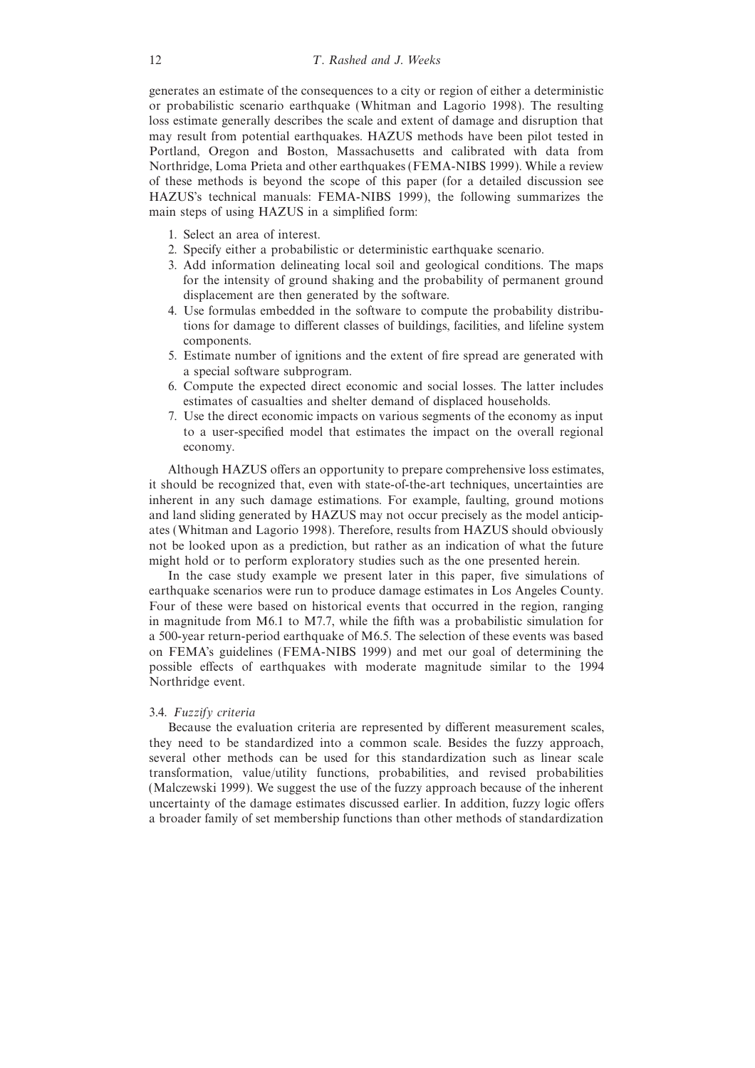generates an estimate of the consequences to a city or region of either a deterministic or probabilistic scenario earthquake (Whitman and Lagorio 1998). The resulting loss estimate generally describes the scale and extent of damage and disruption that may result from potential earthquakes. HAZUS methods have been pilot tested in Portland, Oregon and Boston, Massachusetts and calibrated with data from Northridge, Loma Prieta and other earthquakes (FEMA-NIBS 1999). While a review of these methods is beyond the scope of this paper (for a detailed discussion see HAZUS's technical manuals: FEMA-NIBS 1999), the following summarizes the main steps of using HAZUS in a simplified form:

- 1. Select an area of interest.
- 2. Specify either a probabilistic or deterministic earthquake scenario.
- 3. Add information delineating local soil and geological conditions. The maps for the intensity of ground shaking and the probability of permanent ground displacement are then generated by the software.
- 4. Use formulas embedded in the software to compute the probability distributions for damage to different classes of buildings, facilities, and lifeline system components.
- 5. Estimate number of ignitions and the extent of fire spread are generated with a special software subprogram.
- 6. Compute the expected direct economic and social losses. The latter includes estimates of casualties and shelter demand of displaced households.
- 7. Use the direct economic impacts on various segments of the economy as input to a user-specified model that estimates the impact on the overall regional economy.

Although HAZUS offers an opportunity to prepare comprehensive loss estimates, it should be recognized that, even with state-of-the-art techniques, uncertainties are inherent in any such damage estimations. For example, faulting, ground motions and land sliding generated by HAZUS may not occur precisely as the model anticipates (Whitman and Lagorio 1998). Therefore, results from HAZUS should obviously not be looked upon as a prediction, but rather as an indication of what the future might hold or to perform exploratory studies such as the one presented herein.

In the case study example we present later in this paper, five simulations of earthquake scenarios were run to produce damage estimates in Los Angeles County. Four of these were based on historical events that occurred in the region, ranging in magnitude from M6.1 to M7.7, while the fifth was a probabilistic simulation for a 500-year return-period earthquake of M6.5. The selection of these events was based on FEMA's guidelines (FEMA-NIBS 1999) and met our goal of determining the possible effects of earthquakes with moderate magnitude similar to the 1994 Northridge event.

#### 3.4. Fuzzify criteria

Because the evaluation criteria are represented by different measurement scales, they need to be standardized into a common scale. Besides the fuzzy approach, several other methods can be used for this standardization such as linear scale transformation, value/utility functions, probabilities, and revised probabilities (Malczewski 1999). We suggest the use of the fuzzy approach because of the inherent uncertainty of the damage estimates discussed earlier. In addition, fuzzy logic offers a broader family of set membership functions than other methods of standardization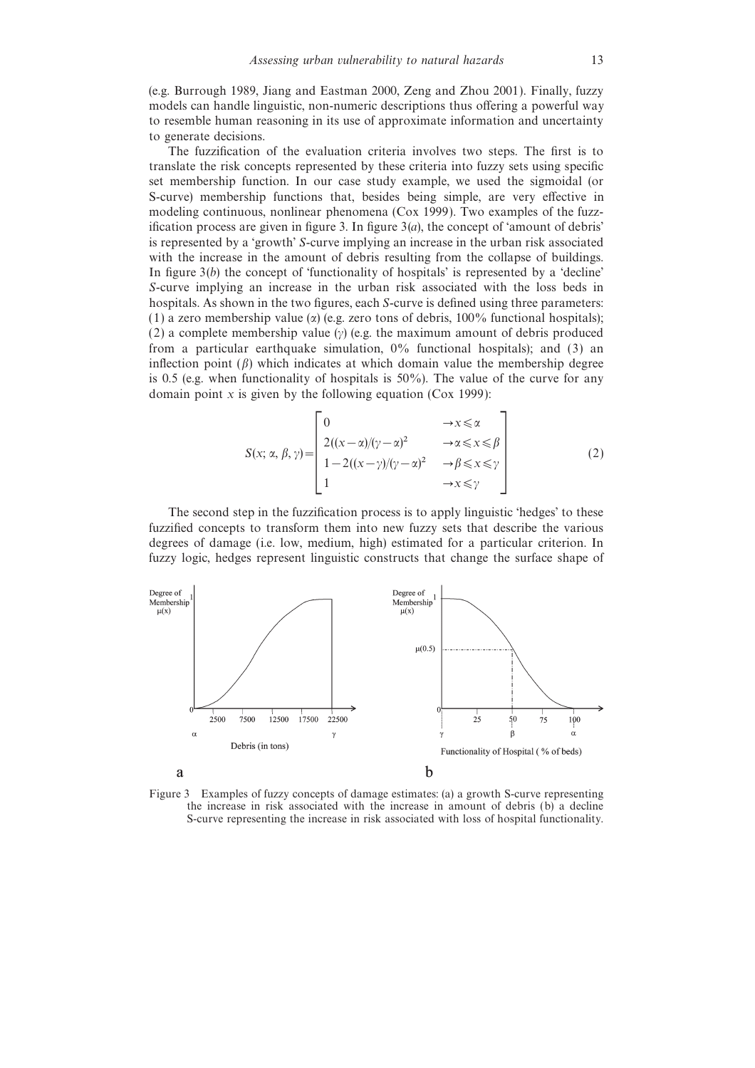(e.g. Burrough 1989, Jiang and Eastman 2000, Zeng and Zhou 2001). Finally, fuzzy models can handle linguistic, non-numeric descriptions thus offering a powerful way to resemble human reasoning in its use of approximate information and uncertainty to generate decisions.

The fuzzification of the evaluation criteria involves two steps. The first is to translate the risk concepts represented by these criteria into fuzzy sets using specific set membership function. In our case study example, we used the sigmoidal (or S-curve) membership functions that, besides being simple, are very effective in modeling continuous, nonlinear phenomena (Cox 1999). Two examples of the fuzzification process are given in figure 3. In figure  $3(a)$ , the concept of 'amount of debris' is represented by a 'growth' S-curve implying an increase in the urban risk associated with the increase in the amount of debris resulting from the collapse of buildings. In figure  $3(b)$  the concept of 'functionality of hospitals' is represented by a 'decline' S-curve implying an increase in the urban risk associated with the loss beds in hospitals. As shown in the two figures, each *S*-curve is defined using three parameters: (1) a zero membership value ( $\alpha$ ) (e.g. zero tons of debris, 100% functional hospitals); (2) a complete membership value  $(y)$  (e.g. the maximum amount of debris produced from a particular earthquake simulation,  $0\%$  functional hospitals); and (3) an inflection point  $(\beta)$  which indicates at which domain value the membership degree is 0.5 (e.g. when functionality of hospitals is  $50\%$ ). The value of the curve for any domain point  $x$  is given by the following equation (Cox 1999):

$$
S(x; \alpha, \beta, \gamma) = \begin{bmatrix} 0 & \rightarrow x \leq \alpha \\ 2((x - \alpha)/(\gamma - \alpha)^2 & \rightarrow \alpha \leq x \leq \beta \\ 1 - 2((x - \gamma)/(\gamma - \alpha)^2 & \rightarrow \beta \leq x \leq \gamma \\ 1 & \rightarrow x \leq \gamma \end{bmatrix} \tag{2}
$$

The second step in the fuzzification process is to apply linguistic 'hedges' to these fuzzified concepts to transform them into new fuzzy sets that describe the various degrees of damage (i.e. low, medium, high) estimated for a particular criterion. In fuzzy logic, hedges represent linguistic constructs that change the surface shape of



Figure 3 Examples of fuzzy concepts of damage estimates: (a) a growth S-curve representing the increase in risk associated with the increase in amount of debris (b) a decline S-curve representing the increase in risk associated with loss of hospital functionality.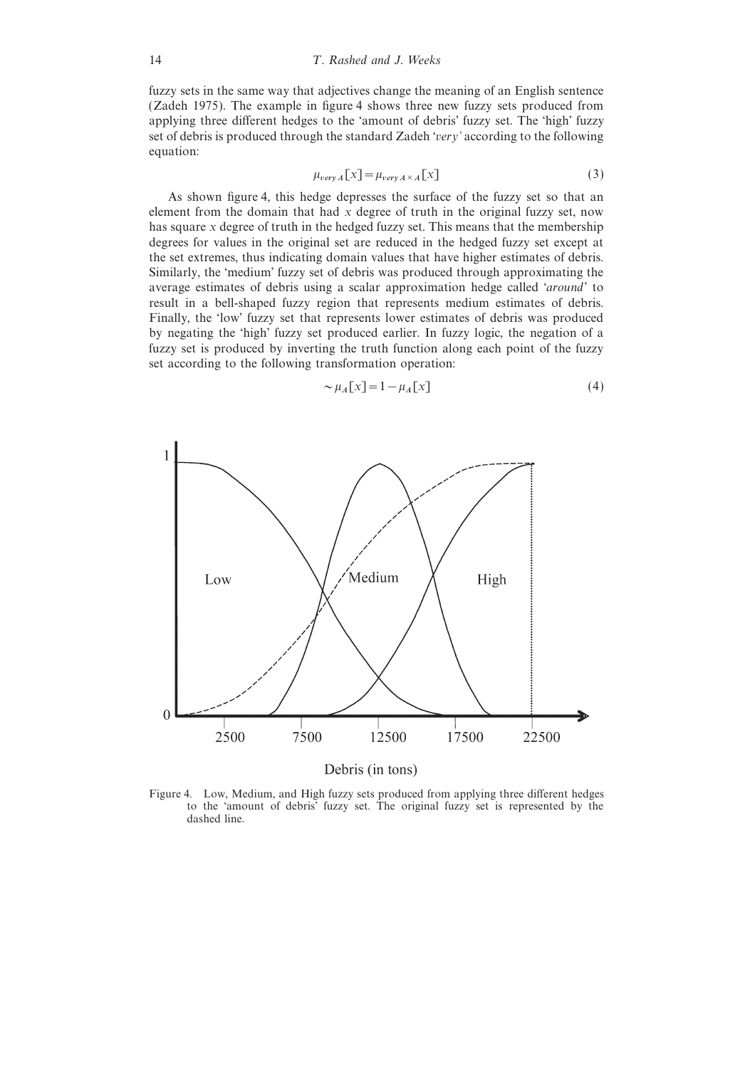fuzzy sets in the same way that adjectives change the meaning of an English sentence (Zadeh 1975). The example in figure 4 shows three new fuzzy sets produced from applying three different hedges to the 'amount of debris' fuzzy set. The 'high' fuzzy set of debris is produced through the standard Zadeh 'very' according to the following equation:

$$
\mu_{very\,A}[x] = \mu_{very\,A \times A}[x] \tag{3}
$$

As shown figure 4, this hedge depresses the surface of the fuzzy set so that an element from the domain that had x degree of truth in the original fuzzy set, now has square x degree of truth in the hedged fuzzy set. This means that the membership degrees for values in the original set are reduced in the hedged fuzzy set except at the set extremes, thus indicating domain values that have higher estimates of debris. Similarly, the 'medium' fuzzy set of debris was produced through approximating the average estimates of debris using a scalar approximation hedge called 'around' to result in a bell-shaped fuzzy region that represents medium estimates of debris. Finally, the 'low' fuzzy set that represents lower estimates of debris was produced by negating the 'high' fuzzy set produced earlier. In fuzzy logic, the negation of a fuzzy set is produced by inverting the truth function along each point of the fuzzy set according to the following transformation operation:

$$
\sim \mu_A[x] = 1 - \mu_A[x] \tag{4}
$$



Figure 4. Low, Medium, and High fuzzy sets produced from applying three different hedges to the 'amount of debris' fuzzy set. The original fuzzy set is represented by the dashed line.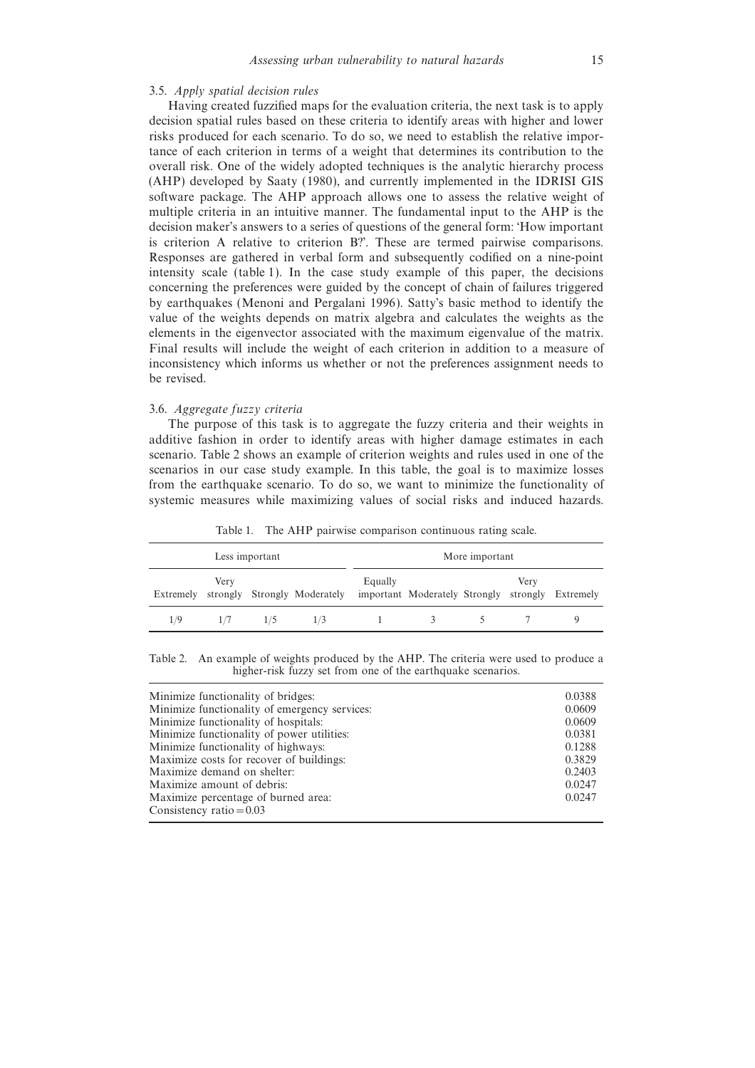## 3.5. Apply spatial decision rules

Having created fuzzified maps for the evaluation criteria, the next task is to apply decision spatial rules based on these criteria to identify areas with higher and lower risks produced for each scenario. To do so, we need to establish the relative importance of each criterion in terms of a weight that determines its contribution to the overall risk. One of the widely adopted techniques is the analytic hierarchy process (AHP) developed by Saaty (1980), and currently implemented in the IDRISI GIS software package. The AHP approach allows one to assess the relative weight of multiple criteria in an intuitive manner. The fundamental input to the AHP is the decision maker's answers to a series of questions of the general form: 'How important is criterion A relative to criterion B?'. These are termed pairwise comparisons. Responses are gathered in verbal form and subsequently codified on a nine-point intensity scale (table 1). In the case study example of this paper, the decisions concerning the preferences were guided by the concept of chain of failures triggered by earthquakes (Menoni and Pergalani 1996). Satty's basic method to identify the value of the weights depends on matrix algebra and calculates the weights as the elements in the eigenvector associated with the maximum eigenvalue of the matrix. Final results will include the weight of each criterion in addition to a measure of inconsistency which informs us whether or not the preferences assignment needs to be revised.

# 3.6. Aggregate fuzzy criteria

The purpose of this task is to aggregate the fuzzy criteria and their weights in additive fashion in order to identify areas with higher damage estimates in each scenario. Table 2 shows an example of criterion weights and rules used in one of the scenarios in our case study example. In this table, the goal is to maximize losses from the earthquake scenario. To do so, we want to minimize the functionality of systemic measures while maximizing values of social risks and induced hazards.

| Table 1. |  |  | . The AHP pairwise comparison continuous rating scale. |
|----------|--|--|--------------------------------------------------------|
|          |  |  |                                                        |
|          |  |  |                                                        |

| Less important |      |     |                                        | More important |                                                  |  |      |  |
|----------------|------|-----|----------------------------------------|----------------|--------------------------------------------------|--|------|--|
|                | Very |     | Extremely strongly Strongly Moderately | Equally        | important Moderately Strongly strongly Extremely |  | Very |  |
| 1/9            |      | 1/5 | 1/3                                    |                | 3 -                                              |  |      |  |

Table 2. An example of weights produced by the AHP. The criteria were used to produce a higher-risk fuzzy set from one of the earthquake scenarios.

| Minimize functionality of bridges:            | 0.0388 |
|-----------------------------------------------|--------|
| Minimize functionality of emergency services: | 0.0609 |
| Minimize functionality of hospitals:          | 0.0609 |
| Minimize functionality of power utilities:    | 0.0381 |
| Minimize functionality of highways:           | 0.1288 |
| Maximize costs for recover of buildings:      | 0.3829 |
| Maximize demand on shelter:                   | 0.2403 |
| Maximize amount of debris:                    | 0.0247 |
| Maximize percentage of burned area:           | 0.0247 |
| Consistency ratio = $0.03$                    |        |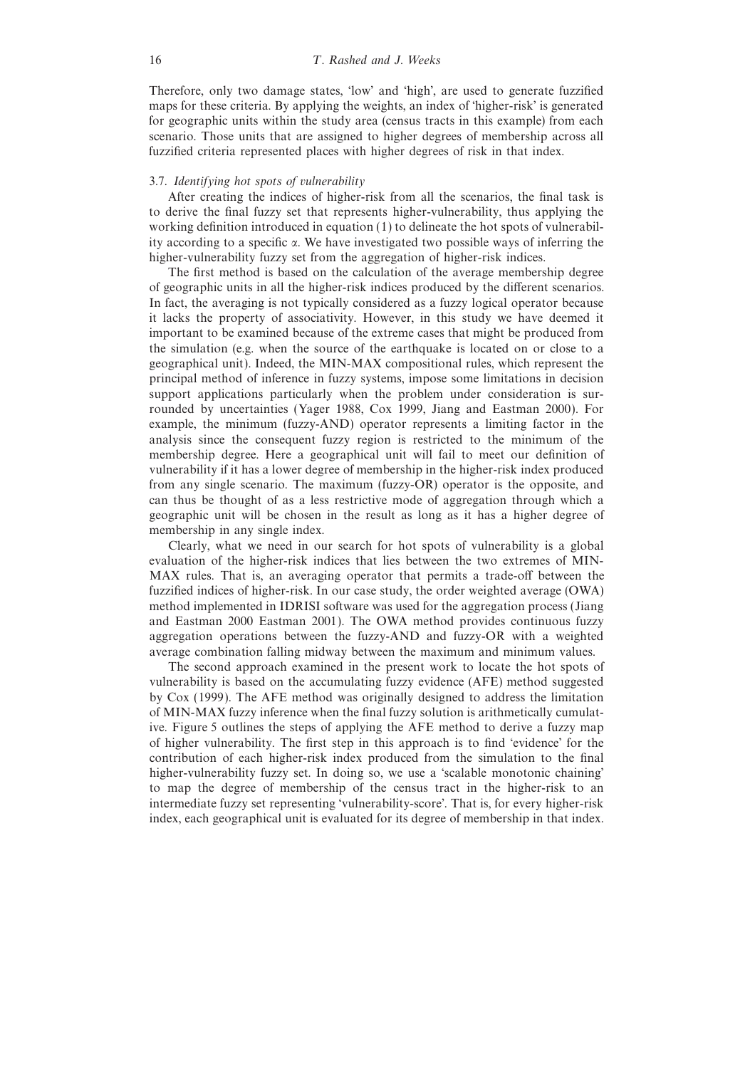Therefore, only two damage states, 'low' and 'high', are used to generate fuzzified maps for these criteria. By applying the weights, an index of 'higher-risk' is generated for geographic units within the study area (census tracts in this example) from each scenario. Those units that are assigned to higher degrees of membership across all fuzzified criteria represented places with higher degrees of risk in that index.

## 3.7. Identifying hot spots of vulnerability

After creating the indices of higher-risk from all the scenarios, the final task is to derive the final fuzzy set that represents higher-vulnerability, thus applying the working definition introduced in equation (1) to delineate the hot spots of vulnerability according to a specific a. We have investigated two possible ways of inferring the higher-vulnerability fuzzy set from the aggregation of higher-risk indices.

The first method is based on the calculation of the average membership degree of geographic units in all the higher-risk indices produced by the different scenarios. In fact, the averaging is not typically considered as a fuzzy logical operator because it lacks the property of associativity. However, in this study we have deemed it important to be examined because of the extreme cases that might be produced from the simulation (e.g. when the source of the earthquake is located on or close to a geographical unit). Indeed, the MIN-MAX compositional rules, which represent the principal method of inference in fuzzy systems, impose some limitations in decision support applications particularly when the problem under consideration is surrounded by uncertainties (Yager 1988, Cox 1999, Jiang and Eastman 2000). For example, the minimum (fuzzy-AND) operator represents a limiting factor in the analysis since the consequent fuzzy region is restricted to the minimum of the membership degree. Here a geographical unit will fail to meet our definition of vulnerability if it has a lower degree of membership in the higher-risk index produced from any single scenario. The maximum (fuzzy-OR) operator is the opposite, and can thus be thought of as a less restrictive mode of aggregation through which a geographic unit will be chosen in the result as long as it has a higher degree of membership in any single index.

Clearly, what we need in our search for hot spots of vulnerability is a global evaluation of the higher-risk indices that lies between the two extremes of MIN-MAX rules. That is, an averaging operator that permits a trade-off between the fuzzified indices of higher-risk. In our case study, the order weighted average (OWA) method implemented in IDRISI software was used for the aggregation process (Jiang and Eastman 2000 Eastman 2001). The OWA method provides continuous fuzzy aggregation operations between the fuzzy-AND and fuzzy-OR with a weighted average combination falling midway between the maximum and minimum values.

The second approach examined in the present work to locate the hot spots of vulnerability is based on the accumulating fuzzy evidence (AFE) method suggested by Cox (1999). The AFE method was originally designed to address the limitation of MIN-MAX fuzzy inference when the final fuzzy solution is arithmetically cumulative. Figure 5 outlines the steps of applying the AFE method to derive a fuzzy map of higher vulnerability. The first step in this approach is to find 'evidence' for the contribution of each higher-risk index produced from the simulation to the final higher-vulnerability fuzzy set. In doing so, we use a 'scalable monotonic chaining' to map the degree of membership of the census tract in the higher-risk to an intermediate fuzzy set representing 'vulnerability-score'. That is, for every higher-risk index, each geographical unit is evaluated for its degree of membership in that index.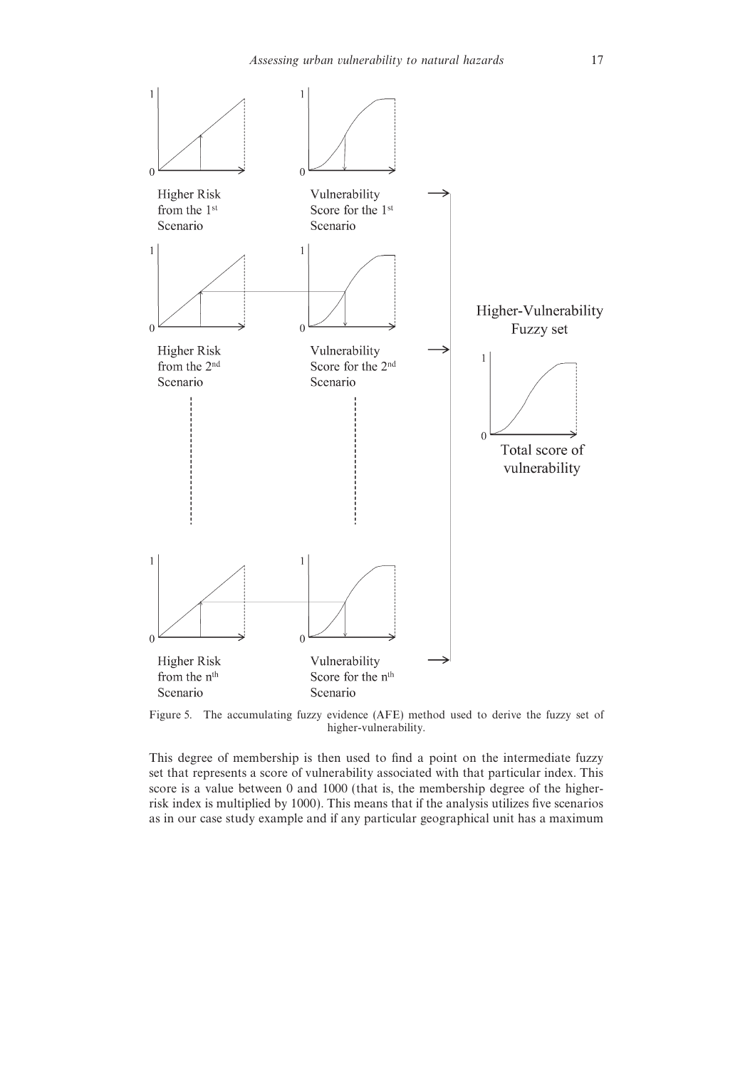

Figure 5. The accumulating fuzzy evidence (AFE) method used to derive the fuzzy set of higher-vulnerability.

This degree of membership is then used to find a point on the intermediate fuzzy set that represents a score of vulnerability associated with that particular index. This score is a value between 0 and 1000 (that is, the membership degree of the higherrisk index is multiplied by 1000). This means that if the analysis utilizes five scenarios as in our case study example and if any particular geographical unit has a maximum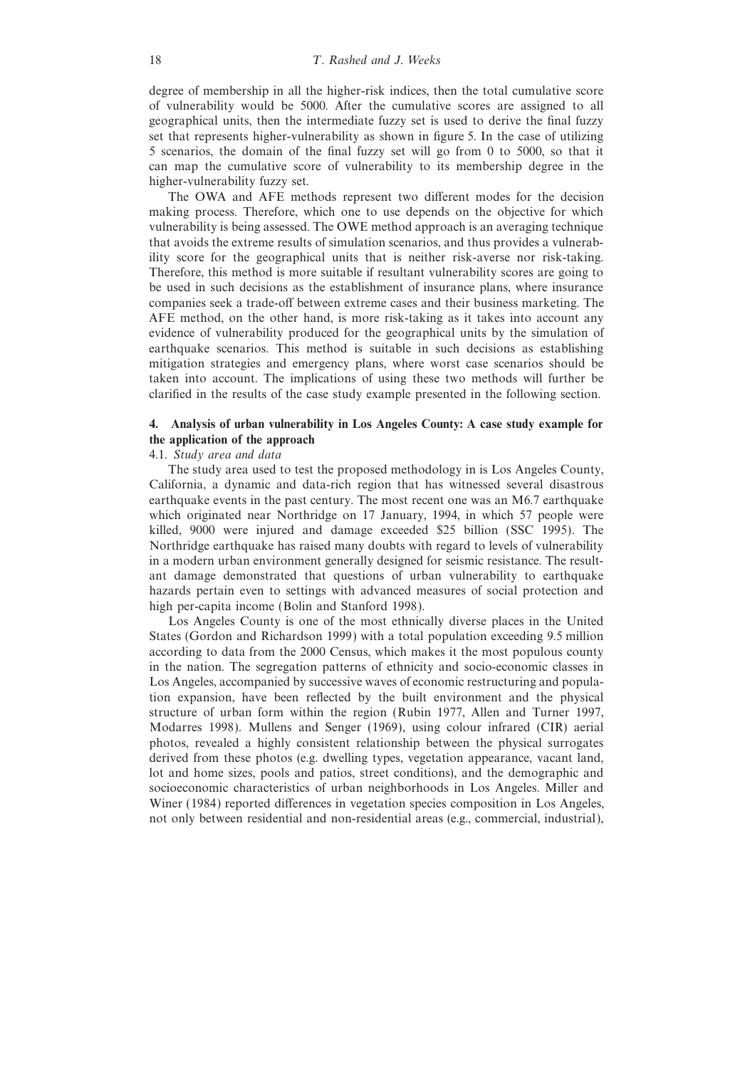degree of membership in all the higher-risk indices, then the total cumulative score of vulnerability would be 5000. After the cumulative scores are assigned to all geographical units, then the intermediate fuzzy set is used to derive the final fuzzy set that represents higher-vulnerability as shown in figure 5. In the case of utilizing 5 scenarios, the domain of the final fuzzy set will go from 0 to 5000, so that it can map the cumulative score of vulnerability to its membership degree in the higher-vulnerability fuzzy set.

The OWA and AFE methods represent two different modes for the decision making process. Therefore, which one to use depends on the objective for which vulnerability is being assessed. The OWE method approach is an averaging technique that avoids the extreme results of simulation scenarios, and thus provides a vulnerability score for the geographical units that is neither risk-averse nor risk-taking. Therefore, this method is more suitable if resultant vulnerability scores are going to be used in such decisions as the establishment of insurance plans, where insurance companies seek a trade-off between extreme cases and their business marketing. The AFE method, on the other hand, is more risk-taking as it takes into account any evidence of vulnerability produced for the geographical units by the simulation of earthquake scenarios. This method is suitable in such decisions as establishing mitigation strategies and emergency plans, where worst case scenarios should be taken into account. The implications of using these two methods will further be clarified in the results of the case study example presented in the following section.

# 4. Analysis of urban vulnerability in Los Angeles County: A case study example for the application of the approach

4.1. Study area and data

The study area used to test the proposed methodology in is Los Angeles County, California, a dynamic and data-rich region that has witnessed several disastrous earthquake events in the past century. The most recent one was an M6.7 earthquake which originated near Northridge on 17 January, 1994, in which 57 people were killed, 9000 were injured and damage exceeded \$25 billion (SSC 1995). The Northridge earthquake has raised many doubts with regard to levels of vulnerability in a modern urban environment generally designed for seismic resistance. The resultant damage demonstrated that questions of urban vulnerability to earthquake hazards pertain even to settings with advanced measures of social protection and high per-capita income (Bolin and Stanford 1998).

Los Angeles County is one of the most ethnically diverse places in the United States (Gordon and Richardson 1999) with a total population exceeding 9.5 million according to data from the 2000 Census, which makes it the most populous county in the nation. The segregation patterns of ethnicity and socio-economic classes in Los Angeles, accompanied by successive waves of economic restructuring and population expansion, have been reflected by the built environment and the physical structure of urban form within the region (Rubin 1977, Allen and Turner 1997, Modarres 1998). Mullens and Senger (1969), using colour infrared (CIR) aerial photos, revealed a highly consistent relationship between the physical surrogates derived from these photos (e.g. dwelling types, vegetation appearance, vacant land, lot and home sizes, pools and patios, street conditions), and the demographic and socioeconomic characteristics of urban neighborhoods in Los Angeles. Miller and Winer (1984) reported differences in vegetation species composition in Los Angeles, not only between residential and non-residential areas (e.g., commercial, industrial),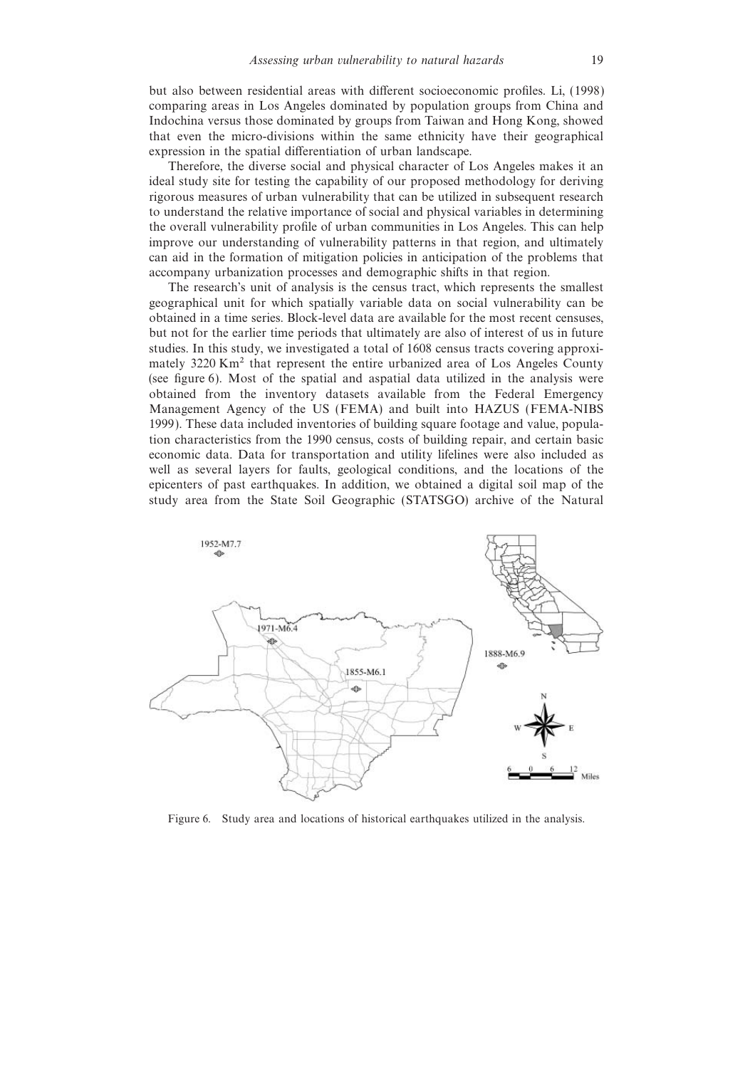but also between residential areas with different socioeconomic profiles. Li, (1998) comparing areas in Los Angeles dominated by population groups from China and Indochina versus those dominated by groups from Taiwan and Hong Kong, showed that even the micro-divisions within the same ethnicity have their geographical expression in the spatial differentiation of urban landscape.

Therefore, the diverse social and physical character of Los Angeles makes it an ideal study site for testing the capability of our proposed methodology for deriving rigorous measures of urban vulnerability that can be utilized in subsequent research to understand the relative importance of social and physical variables in determining the overall vulnerability profile of urban communities in Los Angeles. This can help improve our understanding of vulnerability patterns in that region, and ultimately can aid in the formation of mitigation policies in anticipation of the problems that accompany urbanization processes and demographic shifts in that region.

The research's unit of analysis is the census tract, which represents the smallest geographical unit for which spatially variable data on social vulnerability can be obtained in a time series. Block-level data are available for the most recent censuses, but not for the earlier time periods that ultimately are also of interest of us in future studies. In this study, we investigated a total of 1608 census tracts covering approximately 3220 Km<sup>2</sup> that represent the entire urbanized area of Los Angeles County (see figure 6). Most of the spatial and aspatial data utilized in the analysis were obtained from the inventory datasets available from the Federal Emergency Management Agency of the US (FEMA) and built into HAZUS (FEMA-NIBS 1999). These data included inventories of building square footage and value, population characteristics from the 1990 census, costs of building repair, and certain basic economic data. Data for transportation and utility lifelines were also included as well as several layers for faults, geological conditions, and the locations of the epicenters of past earthquakes. In addition, we obtained a digital soil map of the study area from the State Soil Geographic (STATSGO) archive of the Natural



Figure 6. Study area and locations of historical earthquakes utilized in the analysis.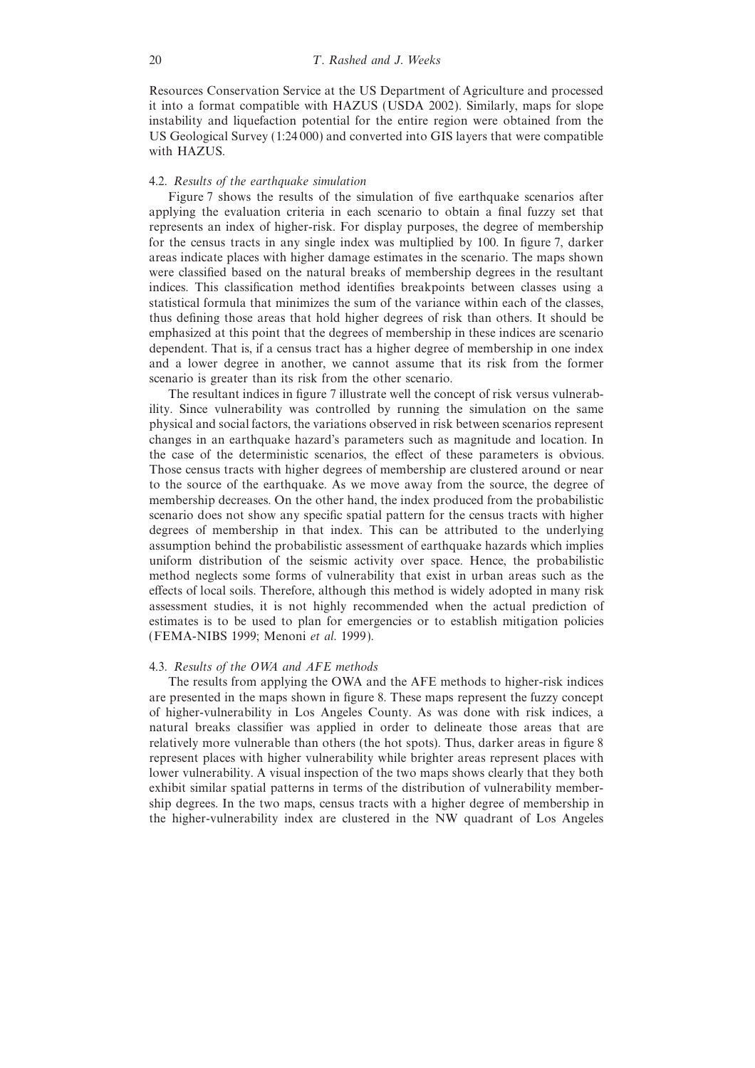Resources Conservation Service at the US Department of Agriculture and processed it into a format compatible with HAZUS (USDA 2002). Similarly, maps for slope instability and liquefaction potential for the entire region were obtained from the US Geological Survey (1:24 000) and converted into GIS layers that were compatible with HAZUS.

# 4.2. Results of the earthquake simulation

Figure 7 shows the results of the simulation of five earthquake scenarios after applying the evaluation criteria in each scenario to obtain a final fuzzy set that represents an index of higher-risk. For display purposes, the degree of membership for the census tracts in any single index was multiplied by 100. In figure 7, darker areas indicate places with higher damage estimates in the scenario. The maps shown were classified based on the natural breaks of membership degrees in the resultant indices. This classification method identifies breakpoints between classes using a statistical formula that minimizes the sum of the variance within each of the classes, thus defining those areas that hold higher degrees of risk than others. It should be emphasized at this point that the degrees of membership in these indices are scenario dependent. That is, if a census tract has a higher degree of membership in one index and a lower degree in another, we cannot assume that its risk from the former scenario is greater than its risk from the other scenario.

The resultant indices in figure 7 illustrate well the concept of risk versus vulnerability. Since vulnerability was controlled by running the simulation on the same physical and social factors, the variations observed in risk between scenarios represent changes in an earthquake hazard's parameters such as magnitude and location. In the case of the deterministic scenarios, the effect of these parameters is obvious. Those census tracts with higher degrees of membership are clustered around or near to the source of the earthquake. As we move away from the source, the degree of membership decreases. On the other hand, the index produced from the probabilistic scenario does not show any specific spatial pattern for the census tracts with higher degrees of membership in that index. This can be attributed to the underlying assumption behind the probabilistic assessment of earthquake hazards which implies uniform distribution of the seismic activity over space. Hence, the probabilistic method neglects some forms of vulnerability that exist in urban areas such as the effects of local soils. Therefore, although this method is widely adopted in many risk assessment studies, it is not highly recommended when the actual prediction of estimates is to be used to plan for emergencies or to establish mitigation policies (FEMA-NIBS 1999; Menoni et al. 1999).

# 4.3. Results of the OWA and AFE methods

The results from applying the OWA and the AFE methods to higher-risk indices are presented in the maps shown in figure 8. These maps represent the fuzzy concept of higher-vulnerability in Los Angeles County. As was done with risk indices, a natural breaks classifier was applied in order to delineate those areas that are relatively more vulnerable than others (the hot spots). Thus, darker areas in figure 8 represent places with higher vulnerability while brighter areas represent places with lower vulnerability. A visual inspection of the two maps shows clearly that they both exhibit similar spatial patterns in terms of the distribution of vulnerability membership degrees. In the two maps, census tracts with a higher degree of membership in the higher-vulnerability index are clustered in the NW quadrant of Los Angeles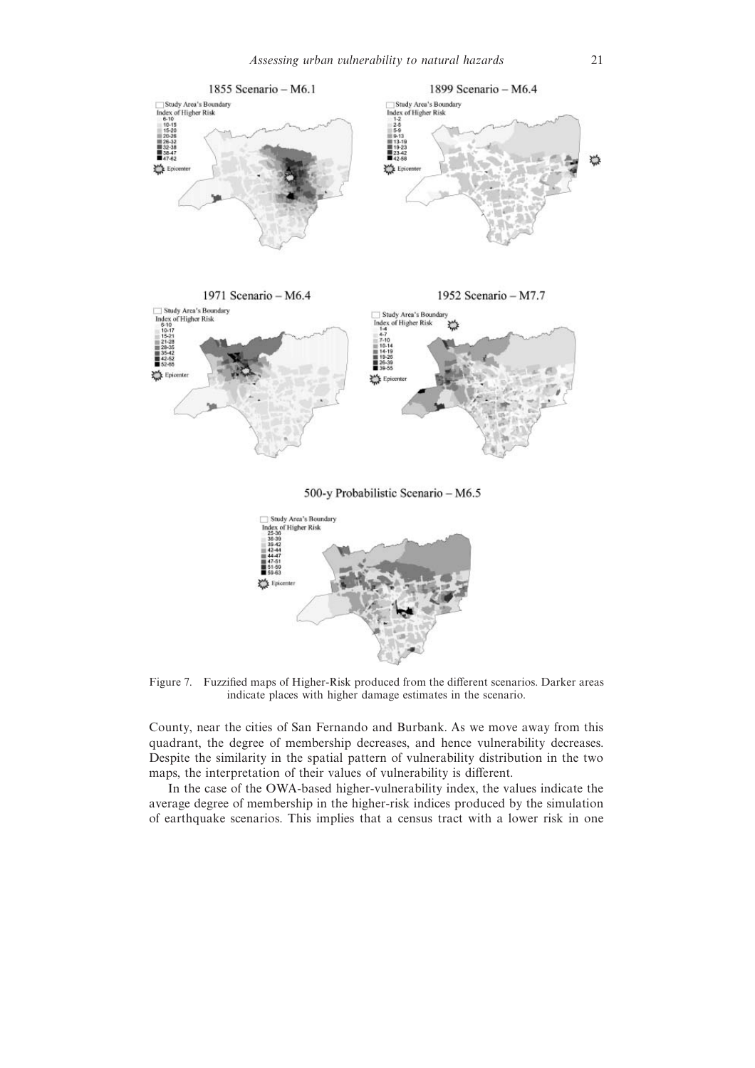

Figure 7. Fuzzified maps of Higher-Risk produced from the different scenarios. Darker areas indicate places with higher damage estimates in the scenario.

County, near the cities of San Fernando and Burbank. As we move away from this quadrant, the degree of membership decreases, and hence vulnerability decreases. Despite the similarity in the spatial pattern of vulnerability distribution in the two maps, the interpretation of their values of vulnerability is different.

In the case of the OWA-based higher-vulnerability index, the values indicate the average degree of membership in the higher-risk indices produced by the simulation of earthquake scenarios. This implies that a census tract with a lower risk in one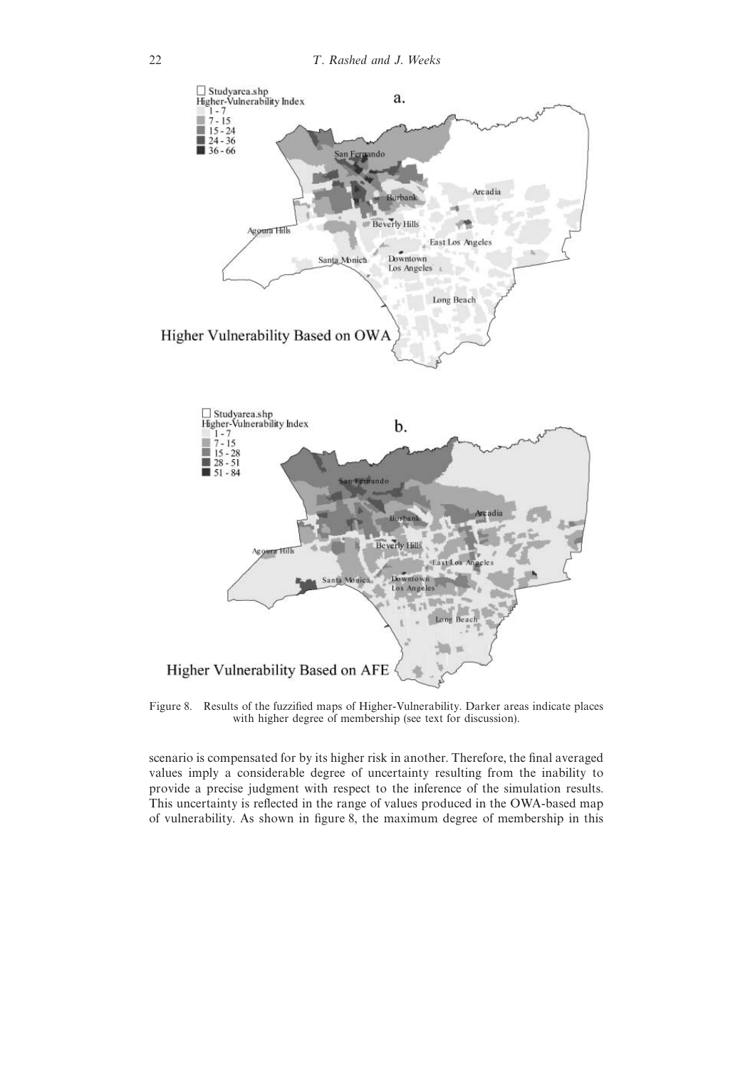

Figure 8. Results of the fuzzified maps of Higher-Vulnerability. Darker areas indicate places with higher degree of membership (see text for discussion).

scenario is compensated for by its higher risk in another. Therefore, the final averaged values imply a considerable degree of uncertainty resulting from the inability to provide a precise judgment with respect to the inference of the simulation results. This uncertainty is reflected in the range of values produced in the OWA-based map of vulnerability. As shown in figure 8, the maximum degree of membership in this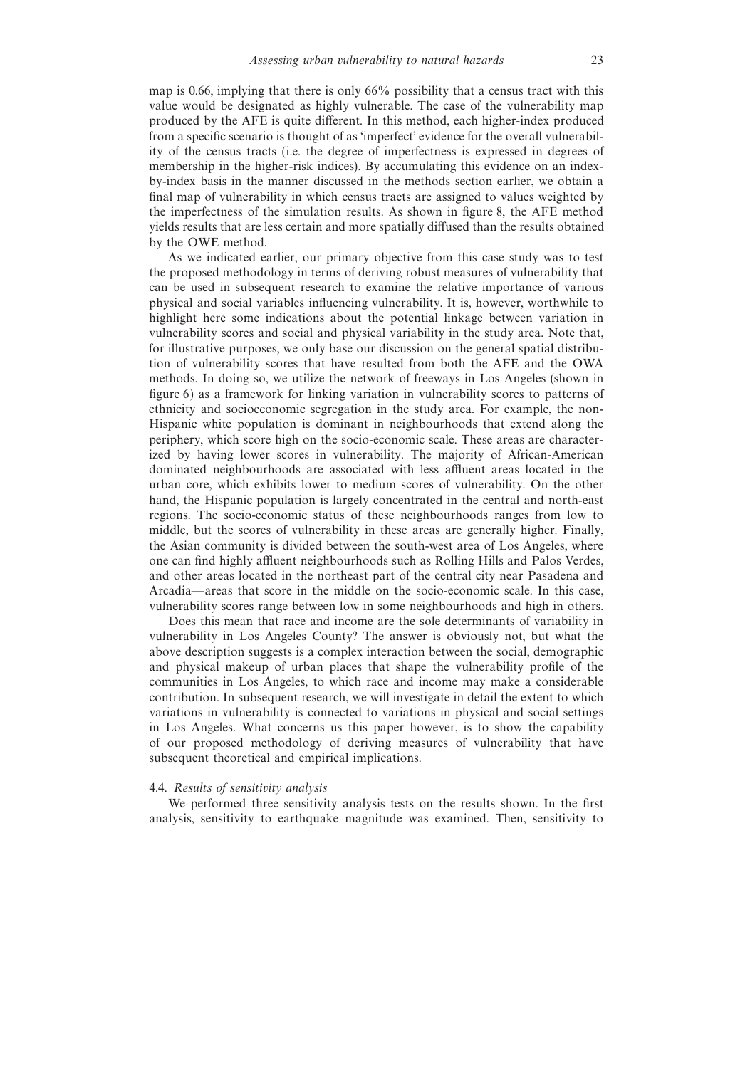map is 0.66, implying that there is only 66% possibility that a census tract with this value would be designated as highly vulnerable. The case of the vulnerability map produced by the AFE is quite different. In this method, each higher-index produced from a specific scenario is thought of as 'imperfect' evidence for the overall vulnerability of the census tracts (i.e. the degree of imperfectness is expressed in degrees of membership in the higher-risk indices). By accumulating this evidence on an indexby-index basis in the manner discussed in the methods section earlier, we obtain a final map of vulnerability in which census tracts are assigned to values weighted by the imperfectness of the simulation results. As shown in figure 8, the AFE method yields results that are less certain and more spatially diffused than the results obtained by the OWE method.

As we indicated earlier, our primary objective from this case study was to test the proposed methodology in terms of deriving robust measures of vulnerability that can be used in subsequent research to examine the relative importance of various physical and social variables influencing vulnerability. It is, however, worthwhile to highlight here some indications about the potential linkage between variation in vulnerability scores and social and physical variability in the study area. Note that, for illustrative purposes, we only base our discussion on the general spatial distribution of vulnerability scores that have resulted from both the AFE and the OWA methods. In doing so, we utilize the network of freeways in Los Angeles (shown in figure 6) as a framework for linking variation in vulnerability scores to patterns of ethnicity and socioeconomic segregation in the study area. For example, the non-Hispanic white population is dominant in neighbourhoods that extend along the periphery, which score high on the socio-economic scale. These areas are characterized by having lower scores in vulnerability. The majority of African-American dominated neighbourhoods are associated with less affluent areas located in the urban core, which exhibits lower to medium scores of vulnerability. On the other hand, the Hispanic population is largely concentrated in the central and north-east regions. The socio-economic status of these neighbourhoods ranges from low to middle, but the scores of vulnerability in these areas are generally higher. Finally, the Asian community is divided between the south-west area of Los Angeles, where one can find highly affluent neighbourhoods such as Rolling Hills and Palos Verdes, and other areas located in the northeast part of the central city near Pasadena and Arcadia—areas that score in the middle on the socio-economic scale. In this case, vulnerability scores range between low in some neighbourhoods and high in others.

Does this mean that race and income are the sole determinants of variability in vulnerability in Los Angeles County? The answer is obviously not, but what the above description suggests is a complex interaction between the social, demographic and physical makeup of urban places that shape the vulnerability profile of the communities in Los Angeles, to which race and income may make a considerable contribution. In subsequent research, we will investigate in detail the extent to which variations in vulnerability is connected to variations in physical and social settings in Los Angeles. What concerns us this paper however, is to show the capability of our proposed methodology of deriving measures of vulnerability that have subsequent theoretical and empirical implications.

# 4.4. Results of sensitivity analysis

We performed three sensitivity analysis tests on the results shown. In the first analysis, sensitivity to earthquake magnitude was examined. Then, sensitivity to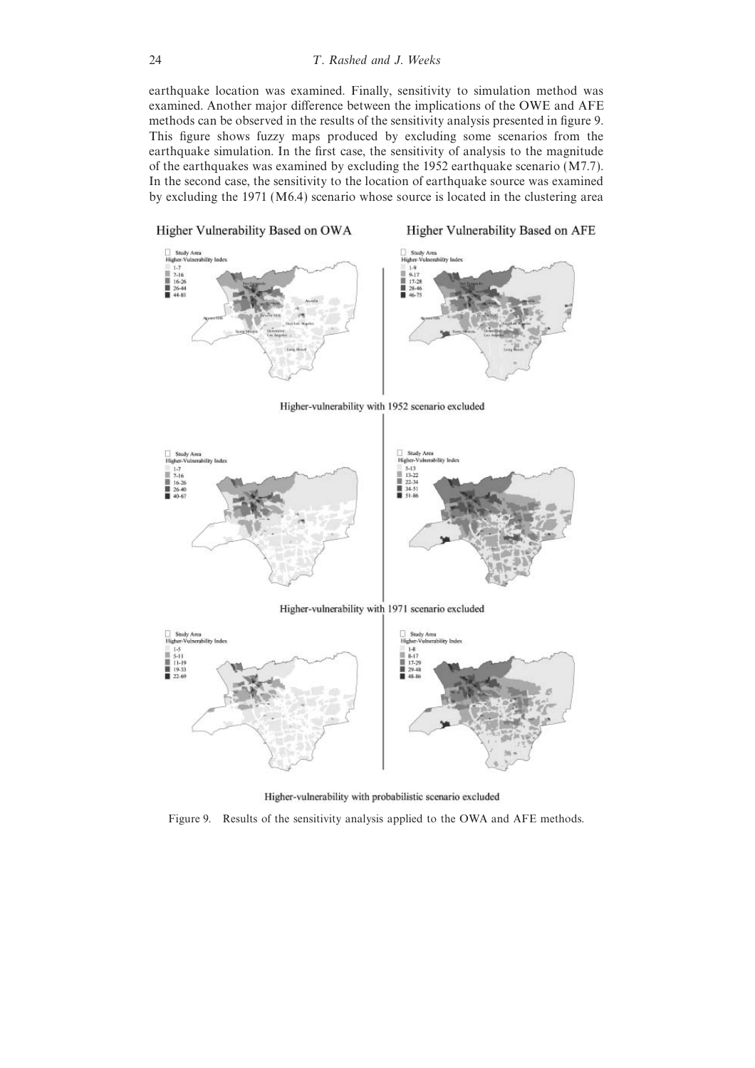earthquake location was examined. Finally, sensitivity to simulation method was examined. Another major difference between the implications of the OWE and AFE methods can be observed in the results of the sensitivity analysis presented in figure 9. This figure shows fuzzy maps produced by excluding some scenarios from the earthquake simulation. In the first case, the sensitivity of analysis to the magnitude of the earthquakes was examined by excluding the 1952 earthquake scenario (M7.7). In the second case, the sensitivity to the location of earthquake source was examined by excluding the 1971 (M6.4) scenario whose source is located in the clustering area



Higher-vulnerability with probabilistic scenario excluded

Figure 9. Results of the sensitivity analysis applied to the OWA and AFE methods.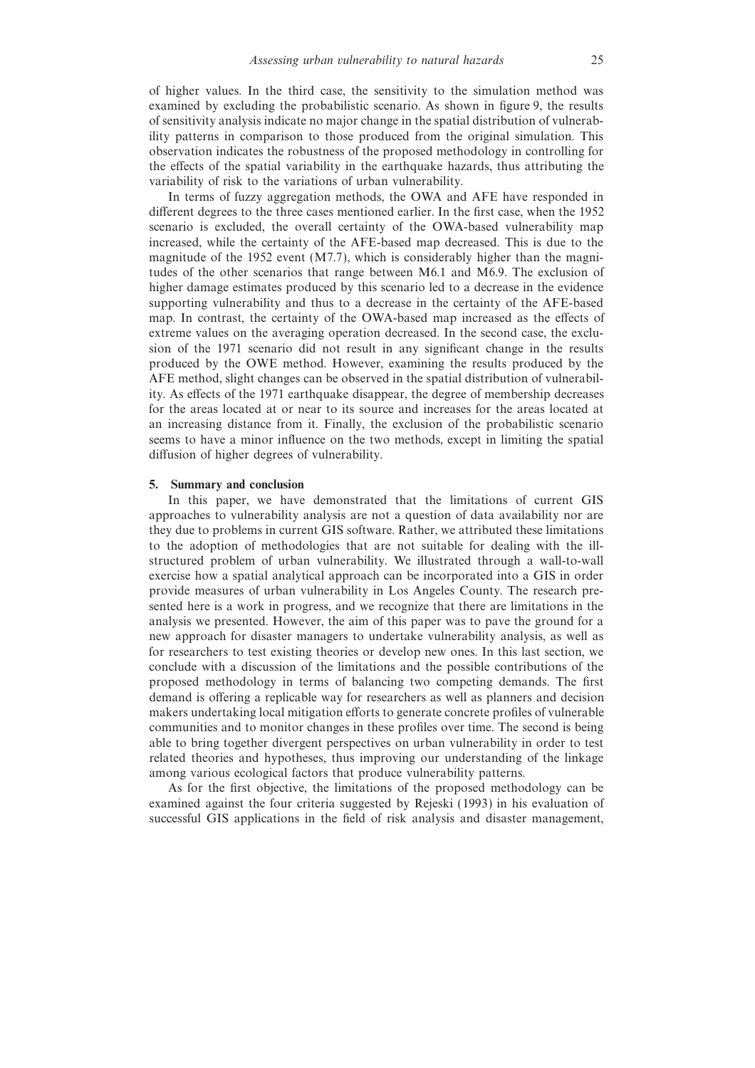of higher values. In the third case, the sensitivity to the simulation method was examined by excluding the probabilistic scenario. As shown in figure 9, the results of sensitivity analysis indicate no major change in the spatial distribution of vulnerability patterns in comparison to those produced from the original simulation. This observation indicates the robustness of the proposed methodology in controlling for the effects of the spatial variability in the earthquake hazards, thus attributing the variability of risk to the variations of urban vulnerability.

In terms of fuzzy aggregation methods, the OWA and AFE have responded in different degrees to the three cases mentioned earlier. In the first case, when the 1952 scenario is excluded, the overall certainty of the OWA-based vulnerability map increased, while the certainty of the AFE-based map decreased. This is due to the magnitude of the 1952 event (M7.7), which is considerably higher than the magnitudes of the other scenarios that range between M6.1 and M6.9. The exclusion of higher damage estimates produced by this scenario led to a decrease in the evidence supporting vulnerability and thus to a decrease in the certainty of the AFE-based map. In contrast, the certainty of the OWA-based map increased as the effects of extreme values on the averaging operation decreased. In the second case, the exclusion of the 1971 scenario did not result in any significant change in the results produced by the OWE method. However, examining the results produced by the AFE method, slight changes can be observed in the spatial distribution of vulnerability. As effects of the 1971 earthquake disappear, the degree of membership decreases for the areas located at or near to its source and increases for the areas located at an increasing distance from it. Finally, the exclusion of the probabilistic scenario seems to have a minor influence on the two methods, except in limiting the spatial diffusion of higher degrees of vulnerability.

#### 5. Summary and conclusion

In this paper, we have demonstrated that the limitations of current GIS approaches to vulnerability analysis are not a question of data availability nor are they due to problems in current GIS software. Rather, we attributed these limitations to the adoption of methodologies that are not suitable for dealing with the illstructured problem of urban vulnerability. We illustrated through a wall-to-wall exercise how a spatial analytical approach can be incorporated into a GIS in order provide measures of urban vulnerability in Los Angeles County. The research presented here is a work in progress, and we recognize that there are limitations in the analysis we presented. However, the aim of this paper was to pave the ground for a new approach for disaster managers to undertake vulnerability analysis, as well as for researchers to test existing theories or develop new ones. In this last section, we conclude with a discussion of the limitations and the possible contributions of the proposed methodology in terms of balancing two competing demands. The first demand is offering a replicable way for researchers as well as planners and decision makers undertaking local mitigation efforts to generate concrete profiles of vulnerable communities and to monitor changes in these profiles over time. The second is being able to bring together divergent perspectives on urban vulnerability in order to test related theories and hypotheses, thus improving our understanding of the linkage among various ecological factors that produce vulnerability patterns.

As for the first objective, the limitations of the proposed methodology can be examined against the four criteria suggested by Rejeski (1993) in his evaluation of successful GIS applications in the field of risk analysis and disaster management,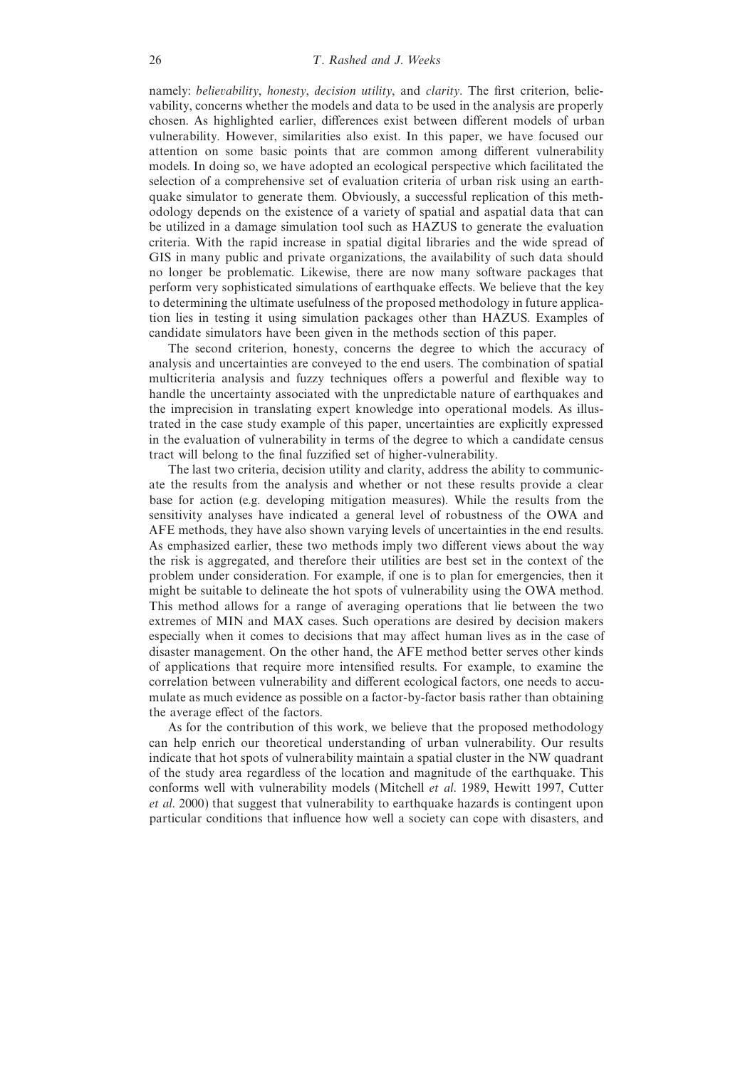namely: believability, honesty, decision utility, and clarity. The first criterion, believability, concerns whether the models and data to be used in the analysis are properly chosen. As highlighted earlier, differences exist between different models of urban vulnerability. However, similarities also exist. In this paper, we have focused our attention on some basic points that are common among different vulnerability models. In doing so, we have adopted an ecological perspective which facilitated the selection of a comprehensive set of evaluation criteria of urban risk using an earthquake simulator to generate them. Obviously, a successful replication of this methodology depends on the existence of a variety of spatial and aspatial data that can be utilized in a damage simulation tool such as HAZUS to generate the evaluation criteria. With the rapid increase in spatial digital libraries and the wide spread of GIS in many public and private organizations, the availability of such data should no longer be problematic. Likewise, there are now many software packages that perform very sophisticated simulations of earthquake effects. We believe that the key to determining the ultimate usefulness of the proposed methodology in future application lies in testing it using simulation packages other than HAZUS. Examples of candidate simulators have been given in the methods section of this paper.

The second criterion, honesty, concerns the degree to which the accuracy of analysis and uncertainties are conveyed to the end users. The combination of spatial multicriteria analysis and fuzzy techniques offers a powerful and flexible way to handle the uncertainty associated with the unpredictable nature of earthquakes and the imprecision in translating expert knowledge into operational models. As illustrated in the case study example of this paper, uncertainties are explicitly expressed in the evaluation of vulnerability in terms of the degree to which a candidate census tract will belong to the final fuzzified set of higher-vulnerability.

The last two criteria, decision utility and clarity, address the ability to communicate the results from the analysis and whether or not these results provide a clear base for action (e.g. developing mitigation measures). While the results from the sensitivity analyses have indicated a general level of robustness of the OWA and AFE methods, they have also shown varying levels of uncertainties in the end results. As emphasized earlier, these two methods imply two different views about the way the risk is aggregated, and therefore their utilities are best set in the context of the problem under consideration. For example, if one is to plan for emergencies, then it might be suitable to delineate the hot spots of vulnerability using the OWA method. This method allows for a range of averaging operations that lie between the two extremes of MIN and MAX cases. Such operations are desired by decision makers especially when it comes to decisions that may affect human lives as in the case of disaster management. On the other hand, the AFE method better serves other kinds of applications that require more intensified results. For example, to examine the correlation between vulnerability and different ecological factors, one needs to accumulate as much evidence as possible on a factor-by-factor basis rather than obtaining the average effect of the factors.

As for the contribution of this work, we believe that the proposed methodology can help enrich our theoretical understanding of urban vulnerability. Our results indicate that hot spots of vulnerability maintain a spatial cluster in the NW quadrant of the study area regardless of the location and magnitude of the earthquake. This conforms well with vulnerability models (Mitchell et al. 1989, Hewitt 1997, Cutter et al. 2000) that suggest that vulnerability to earthquake hazards is contingent upon particular conditions that influence how well a society can cope with disasters, and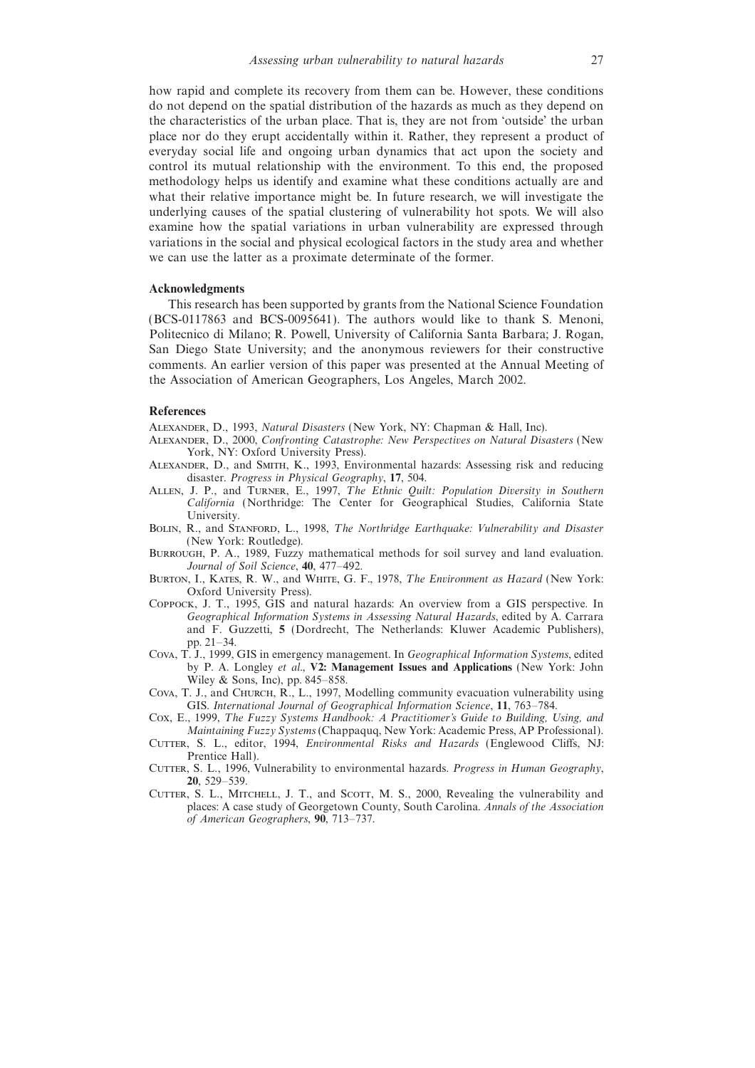how rapid and complete its recovery from them can be. However, these conditions do not depend on the spatial distribution of the hazards as much as they depend on the characteristics of the urban place. That is, they are not from 'outside' the urban place nor do they erupt accidentally within it. Rather, they represent a product of everyday social life and ongoing urban dynamics that act upon the society and control its mutual relationship with the environment. To this end, the proposed methodology helps us identify and examine what these conditions actually are and what their relative importance might be. In future research, we will investigate the underlying causes of the spatial clustering of vulnerability hot spots. We will also examine how the spatial variations in urban vulnerability are expressed through variations in the social and physical ecological factors in the study area and whether we can use the latter as a proximate determinate of the former.

# Acknowledgments

This research has been supported by grants from the National Science Foundation (BCS-0117863 and BCS-0095641). The authors would like to thank S. Menoni, Politecnico di Milano; R. Powell, University of California Santa Barbara; J. Rogan, San Diego State University; and the anonymous reviewers for their constructive comments. An earlier version of this paper was presented at the Annual Meeting of the Association of American Geographers, Los Angeles, March 2002.

## References

ALEXANDER, D., 1993, Natural Disasters (New York, NY: Chapman & Hall, Inc).

- ALEXANDER, D., 2000, Confronting Catastrophe: New Perspectives on Natural Disasters (New York, NY: Oxford University Press).
- ALEXANDER, D., and SMITH, K., 1993, Environmental hazards: Assessing risk and reducing disaster. Progress in Physical Geography, 17, 504.
- ALLEN, J. P., and TURNER, E., 1997, The Ethnic Quilt: Population Diversity in Southern California (Northridge: The Center for Geographical Studies, California State University.
- BOLIN, R., and STANFORD, L., 1998, The Northridge Earthquake: Vulnerability and Disaster (New York: Routledge).
- BURROUGH, P. A., 1989, Fuzzy mathematical methods for soil survey and land evaluation. Journal of Soil Science, 40, 477–492.
- BURTON, I., KATES, R. W., and WHITE, G. F., 1978, The Environment as Hazard (New York: Oxford University Press).
- COPPOCK, J. T., 1995, GIS and natural hazards: An overview from a GIS perspective. In Geographical Information Systems in Assessing Natural Hazards, edited by A. Carrara and F. Guzzetti, 5 (Dordrecht, The Netherlands: Kluwer Academic Publishers), pp. 21–34.
- Cova, T. J., 1999, GIS in emergency management. In Geographical Information Systems, edited by P. A. Longley et al., V2: Management Issues and Applications (New York: John Wiley & Sons, Inc), pp. 845–858.
- Cova, T. J., and CHURCH, R., L., 1997, Modelling community evacuation vulnerability using GIS. International Journal of Geographical Information Science, 11, 763–784.
- COX, E., 1999, The Fuzzy Systems Handbook: A Practitiomer's Guide to Building, Using, and Maintaining Fuzzy Systems (Chappaquq, New York: Academic Press, AP Professional).
- CUTTER, S. L., editor, 1994, *Environmental Risks and Hazards* (Englewood Cliffs, NJ: Prentice Hall).
- CUTTER, S. L., 1996, Vulnerability to environmental hazards. Progress in Human Geography, 20, 529–539.
- CUTTER, S. L., MITCHELL, J. T., and SCOTT, M. S., 2000, Revealing the vulnerability and places: A case study of Georgetown County, South Carolina. Annals of the Association of American Geographers, 90, 713–737.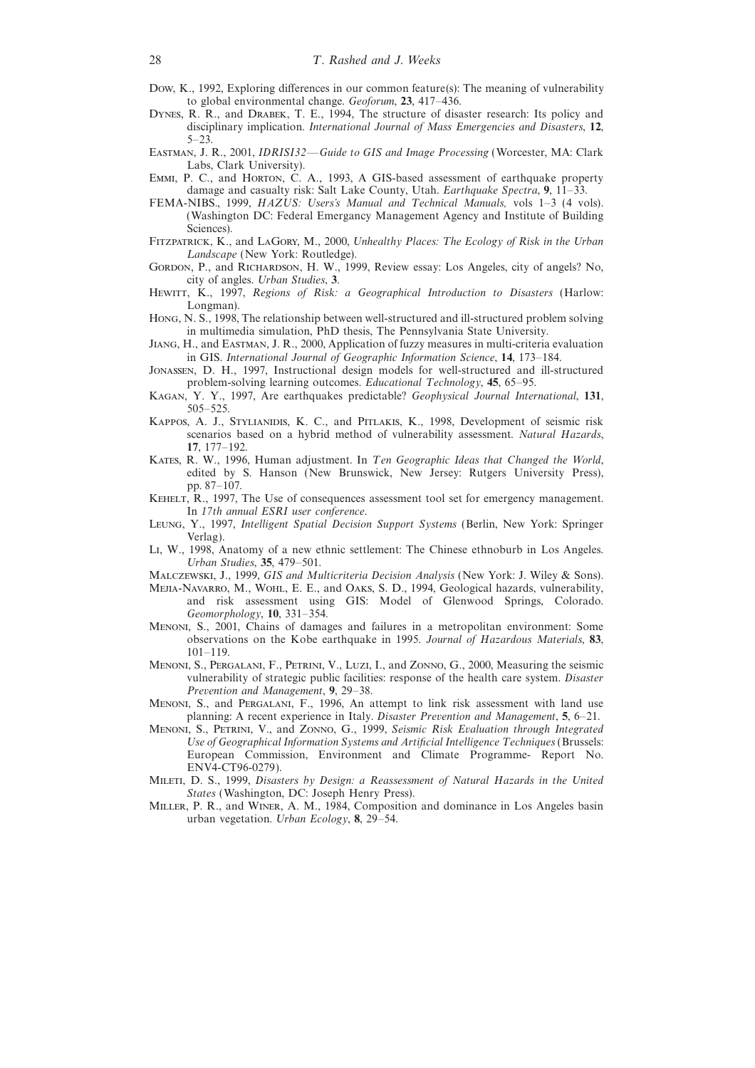- Dow, K., 1992, Exploring differences in our common feature(s): The meaning of vulnerability to global environmental change. Geoforum, 23, 417–436.
- DYNES, R. R., and DRABEK, T. E., 1994, The structure of disaster research: Its policy and disciplinary implication. International Journal of Mass Emergencies and Disasters, 12,  $5 - 23$
- EASTMAN, J. R., 2001, IDRISI32—Guide to GIS and Image Processing (Worcester, MA: Clark Labs, Clark University).
- EMMI, P. C., and HORTON, C. A., 1993, A GIS-based assessment of earthquake property damage and casualty risk: Salt Lake County, Utah. Earthquake Spectra, 9, 11–33.
- FEMA-NIBS., 1999, HAZUS: Users's Manual and T echnical Manuals, vols 1–3 (4 vols). (Washington DC: Federal Emergancy Management Agency and Institute of Building Sciences).
- FITZPATRICK, K., and LAGORY, M., 2000, Unhealthy Places: The Ecology of Risk in the Urban Landscape (New York: Routledge).
- GORDON, P., and RICHARDSON, H. W., 1999, Review essay: Los Angeles, city of angels? No, city of angles. Urban Studies, 3.
- HEWITT, K., 1997, Regions of Risk: a Geographical Introduction to Disasters (Harlow: Longman).
- Hong, N. S., 1998, The relationship between well-structured and ill-structured problem solving in multimedia simulation, PhD thesis, The Pennsylvania State University.
- JIANG, H., and EASTMAN, J. R., 2000, Application of fuzzy measures in multi-criteria evaluation in GIS. International Journal of Geographic Information Science, 14, 173–184.
- JONASSEN, D. H., 1997, Instructional design models for well-structured and ill-structured problem-solving learning outcomes. Educational Technology, 45, 65–95.
- KAGAN, Y. Y., 1997, Are earthquakes predictable? Geophysical Journal International, 131, 505–525.
- KAPPOS, A. J., STYLIANIDIS, K. C., and PITLAKIS, K., 1998, Development of seismic risk scenarios based on a hybrid method of vulnerability assessment. Natural Hazards, 17, 177–192.
- KATES, R. W., 1996, Human adjustment. In Ten Geographic Ideas that Changed the World, edited by S. Hanson (New Brunswick, New Jersey: Rutgers University Press), pp. 87–107.
- KEHELT, R., 1997, The Use of consequences assessment tool set for emergency management. In 17th annual ESRI user conference.
- LEUNG, Y., 1997, Intelligent Spatial Decision Support Systems (Berlin, New York: Springer Verlag).
- L, W., 1998, Anatomy of a new ethnic settlement: The Chinese ethnoburb in Los Angeles. Urban Studies, 35, 479–501.
- MALCZEWSKI, J., 1999, GIS and Multicriteria Decision Analysis (New York: J. Wiley & Sons).
- MEJIA-NAVARRO, M., WOHL, E. E., and OAKS, S. D., 1994, Geological hazards, vulnerability, and risk assessment using GIS: Model of Glenwood Springs, Colorado. Geomorphology, 10, 331–354.
- M, S., 2001, Chains of damages and failures in a metropolitan environment: Some observations on the Kobe earthquake in 1995. Journal of Hazardous Materials, 83, 101–119.
- MENONI, S., PERGALANI, F., PETRINI, V., LUZI, I., and ZONNO, G., 2000, Measuring the seismic vulnerability of strategic public facilities: response of the health care system. Disaster Prevention and Management, 9, 29–38.
- MENONI, S., and PERGALANI, F., 1996, An attempt to link risk assessment with land use planning: A recent experience in Italy. Disaster Prevention and Management, 5, 6–21.
- MENONI, S., PETRINI, V., and ZONNO, G., 1999, Seismic Risk Evaluation through Integrated Use of Geographical Information Systems and Artificial Intelligence T echniques (Brussels: European Commission, Environment and Climate Programme- Report No. ENV4-CT96-0279).
- MILETI, D. S., 1999, Disasters by Design: a Reassessment of Natural Hazards in the United States (Washington, DC: Joseph Henry Press).
- MILLER, P. R., and WINER, A. M., 1984, Composition and dominance in Los Angeles basin urban vegetation. Urban Ecology, 8, 29–54.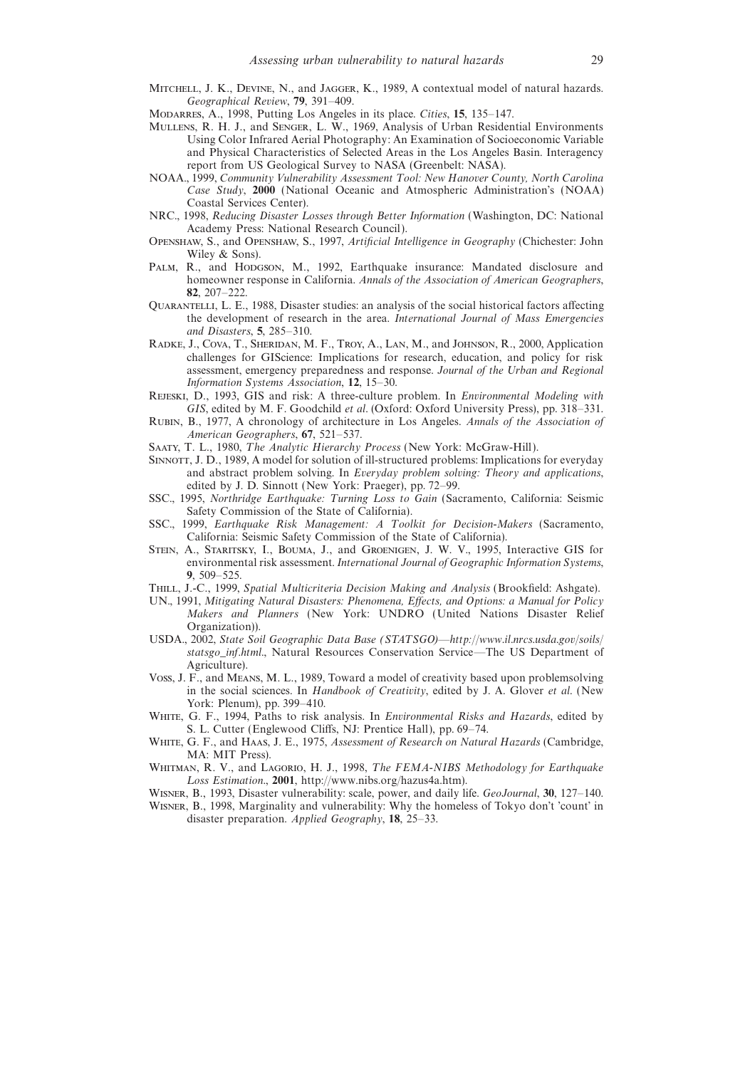- MITCHELL, J. K., DEVINE, N., and JAGGER, K., 1989, A contextual model of natural hazards. Geographical Review, 79, 391–409.
- MODARRES, A., 1998, Putting Los Angeles in its place. Cities, 15, 135–147.
- MULLENS, R. H. J., and SENGER, L. W., 1969, Analysis of Urban Residential Environments Using Color Infrared Aerial Photography: An Examination of Socioeconomic Variable and Physical Characteristics of Selected Areas in the Los Angeles Basin. Interagency report from US Geological Survey to NASA (Greenbelt: NASA).
- NOAA., 1999, Community Vulnerability Assessment Tool: New Hanover County, North Carolina Case Study, 2000 (National Oceanic and Atmospheric Administration's (NOAA) Coastal Services Center).
- NRC., 1998, Reducing Disaster Losses through Better Information (Washington, DC: National Academy Press: National Research Council).
- OPENSHAW, S., and OPENSHAW, S., 1997, Artificial Intelligence in Geography (Chichester: John Wiley & Sons).
- PALM, R., and HODGSON, M., 1992, Earthquake insurance: Mandated disclosure and homeowner response in California. Annals of the Association of American Geographers, 82, 207–222.
- QUARANTELLI, L. E., 1988, Disaster studies: an analysis of the social historical factors affecting the development of research in the area. International Journal of Mass Emergencies and Disasters, 5, 285–310.
- RADKE, J., COVA, T., SHERIDAN, M. F., TROY, A., LAN, M., and JOHNSON, R., 2000, Application challenges for GIScience: Implications for research, education, and policy for risk assessment, emergency preparedness and response. Journal of the Urban and Regional Information Systems Association, 12, 15–30.
- REJESKI, D., 1993, GIS and risk: A three-culture problem. In *Environmental Modeling with* GIS, edited by M. F. Goodchild et al. (Oxford: Oxford University Press), pp. 318–331.
- RUBIN, B., 1977, A chronology of architecture in Los Angeles. Annals of the Association of American Geographers, 67, 521–537.
- SAATY, T. L., 1980, The Analytic Hierarchy Process (New York: McGraw-Hill).
- SINNOTT, J. D., 1989, A model for solution of ill-structured problems: Implications for everyday and abstract problem solving. In Everyday problem solving: Theory and applications, edited by J. D. Sinnott (New York: Praeger), pp. 72–99.
- SSC., 1995, Northridge Earthquake: Turning Loss to Gain (Sacramento, California: Seismic Safety Commission of the State of California).
- SSC., 1999, Earthquake Risk Management: A T oolkit for Decision-Makers (Sacramento, California: Seismic Safety Commission of the State of California).
- STEIN, A., STARITSKY, I., BOUMA, J., and GROENIGEN, J. W. V., 1995, Interactive GIS for environmental risk assessment. International Journal of Geographic Information Systems, 9, 509–525.
- THILL, J.-C., 1999, Spatial Multicriteria Decision Making and Analysis (Brookfield: Ashgate).
- UN., 1991, Mitigating Natural Disasters: Phenomena, Effects, and Options: a Manual for Policy Makers and Planners (New York: UNDRO (United Nations Disaster Relief Organization)).
- USDA., 2002, State Soil Geographic Data Base (STATSGO)—http://www.il.nrcs.usda.gov/soils/ statsgo\_inf.html., Natural Resources Conservation Service—The US Department of Agriculture).
- Voss, J. F., and MEANS, M. L., 1989, Toward a model of creativity based upon problemsolving in the social sciences. In Handbook of Creativity, edited by J. A. Glover et al. (New York: Plenum), pp. 399–410.
- WHITE, G. F., 1994, Paths to risk analysis. In *Environmental Risks and Hazards*, edited by S. L. Cutter (Englewood Cliffs, NJ: Prentice Hall), pp. 69–74.
- WHITE, G. F., and HAAS, J. E., 1975, Assessment of Research on Natural Hazards (Cambridge, MA: MIT Press).
- WHITMAN, R. V., and LAGORIO, H. J., 1998, The FEMA-NIBS Methodology for Earthquake Loss Estimation., 2001, http://www.nibs.org/hazus4a.htm).
- WISNER, B., 1993, Disaster vulnerability: scale, power, and daily life. GeoJournal, 30, 127–140. WISNER, B., 1998, Marginality and vulnerability: Why the homeless of Tokyo don't 'count' in disaster preparation. Applied Geography, 18, 25–33.